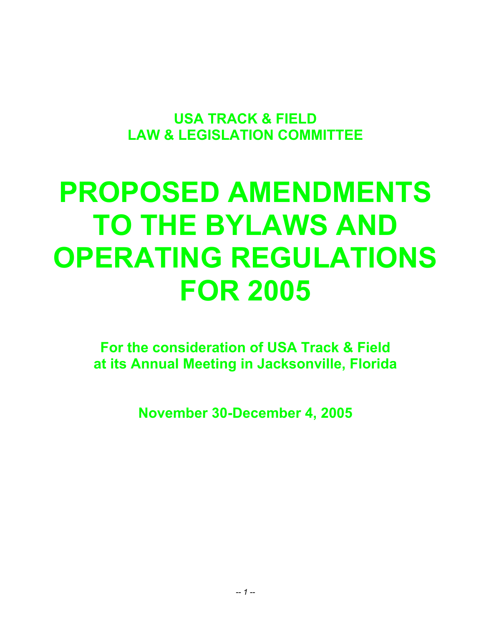**USA TRACK & FIELD LAW & LEGISLATION COMMITTEE** 

# **PROPOSED AMENDMENTS TO THE BYLAWS AND OPERATING REGULATIONS FOR 2005**

**For the consideration of USA Track & Field at its Annual Meeting in Jacksonville, Florida** 

**November 30-December 4, 2005**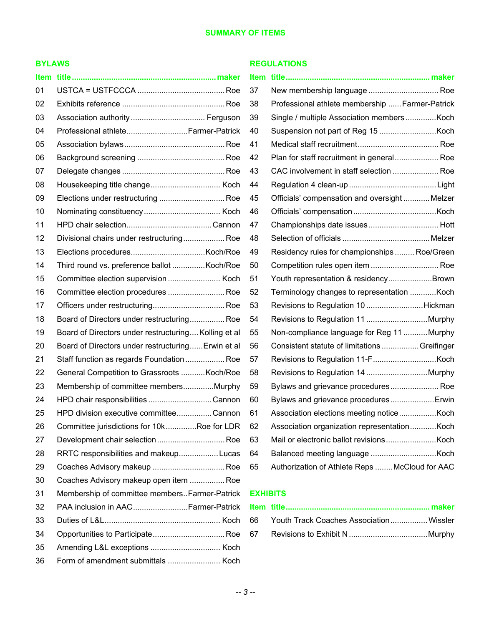## **BYLAWS**

| 01 |                                                      |
|----|------------------------------------------------------|
| 02 |                                                      |
| 03 |                                                      |
| 04 | Professional athlete Farmer-Patrick                  |
| 05 |                                                      |
| 06 |                                                      |
| 07 |                                                      |
| 08 | Housekeeping title change Koch                       |
| 09 | Elections under restructuring  Roe                   |
| 10 |                                                      |
| 11 |                                                      |
| 12 | Divisional chairs under restructuring Roe            |
| 13 |                                                      |
| 14 | Third round vs. preference ballot  Koch/Roe          |
| 15 |                                                      |
| 16 | Committee election procedures  Roe                   |
| 17 |                                                      |
| 18 | Board of Directors under restructuring Roe           |
| 19 | Board of Directors under restructuring Kolling et al |
| 20 | Board of Directors under restructuring Erwin et al   |
| 21 | Staff function as regards Foundation Roe             |
| 22 | General Competition to Grassroots Koch/Roe           |
| 23 | Membership of committee membersMurphy                |
| 24 | HPD chair responsibilities Cannon                    |
| 25 | HPD division executive committeeCannon               |
| 26 | Committee jurisdictions for 10kRoe for LDR           |
| 27 | Development chair selection Roe                      |
| 28 | RRTC responsibilities and makeupLucas                |
| 29 |                                                      |
| 30 | Coaches Advisory makeup open item  Roe               |
| 31 | Membership of committee membersFarmer-Patrick        |
| 32 | PAA inclusion in AACFarmer-Patrick                   |
| 33 |                                                      |
| 34 |                                                      |
| 35 |                                                      |
| 36 |                                                      |

#### **REGULATIONS**

| 37 | New membership language  Roe                    |
|----|-------------------------------------------------|
| 38 | Professional athlete membership  Farmer-Patrick |
| 39 |                                                 |
| 40 |                                                 |
| 41 |                                                 |
| 42 | Plan for staff recruitment in general Roe       |
| 43 | CAC involvement in staff selection  Roe         |
| 44 |                                                 |
| 45 | Officials' compensation and oversight  Melzer   |
| 46 |                                                 |
| 47 |                                                 |
| 48 |                                                 |
| 49 | Residency rules for championships  Roe/Green    |
| 50 | Competition rules open item  Roe                |
| 51 | Youth representation & residencyBrown           |
| 52 | Terminology changes to representation  Koch     |
| 53 | Revisions to Regulation 10 Hickman              |
| 54 |                                                 |
| 55 | Non-compliance language for Reg 11 Murphy       |
| 56 | Consistent statute of limitations  Greifinger   |
| 57 |                                                 |
| 58 |                                                 |
| 59 | Bylaws and grievance procedures Roe             |
| 60 | Bylaws and grievance procedures Erwin           |
| 61 |                                                 |
| 62 | Association organization representationKoch     |
| 63 |                                                 |
| 64 |                                                 |
| 65 | Authorization of Athlete Reps  McCloud for AAC  |

## **EXHIBITS**

| 66 Youth Track Coaches Association Wissler |  |
|--------------------------------------------|--|
|                                            |  |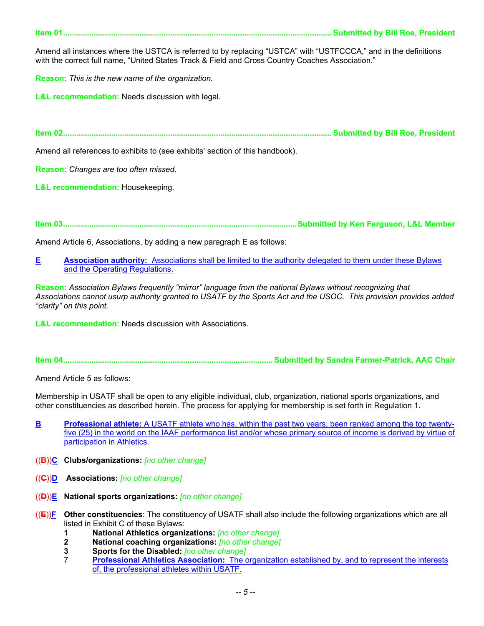**Item 01........................................................................................................................... Submitted by Bill Roe, President** 

Amend all instances where the USTCA is referred to by replacing "USTCA" with "USTFCCCA," and in the definitions with the correct full name, "United States Track & Field and Cross Country Coaches Association."

**Reason:** *This is the new name of the organization.*

**L&L recommendation:** Needs discussion with legal.

**Item 02........................................................................................................................... Submitted by Bill Roe, President** 

Amend all references to exhibits to (see exhibits' section of this handbook).

**Reason:** *Changes are too often missed.* 

**L&L recommendation:** Housekeeping.

**Item 03...........................................................................................................Submitted by Ken Ferguson, L&L Member** 

Amend Article 6, Associations, by adding a new paragraph E as follows:

**E** Association authority: Associations shall be limited to the authority delegated to them under these Bylaws and the Operating Regulations.

**Reason:** *Association Bylaws frequently "mirror" language from the national Bylaws without recognizing that Associations cannot usurp authority granted to USATF by the Sports Act and the USOC. This provision provides added "clarity" on this point.* 

**L&L recommendation:** Needs discussion with Associations.

**Item 04................................................................................................ Submitted by Sandra Farmer-Patrick, AAC Chair** 

Amend Article 5 as follows:

Membership in USATF shall be open to any eligible individual, club, organization, national sports organizations, and other constituencies as described herein. The process for applying for membership is set forth in Regulation 1.

- **B** Professional athlete: A USATF athlete who has, within the past two years, been ranked among the top twentyfive (25) in the world on the IAAF performance list and/or whose primary source of income is derived by virtue of participation in Athletics.
- ((**B**))**C Clubs/organizations:** *[no other change]*
- ((**C**))**D Associations:** *[no other change]*
- ((**D**))**E National sports organizations:** *[no other change]*
- ((**E**))**F Other constituencies**: The constituency of USATF shall also include the following organizations which are all listed in Exhibit C of these Bylaws:
	- **1 National Athletics organizations:** *[no other change]*
	- **2 National coaching organizations:** *[no other change]*
	- **3 Sports for the Disabled:** *[no other change]*
	- 7 **Professional Athletics Association:** The organization established by, and to represent the interests of, the professional athletes within USATF.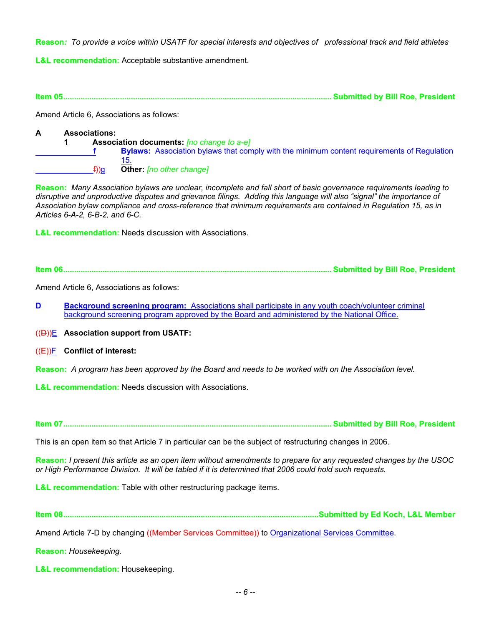**Reason***: To provide a voice within USATF for special interests and objectives of professional track and field athletes*

**L&L recommendation:** Acceptable substantive amendment.

**Item 05........................................................................................................................... Submitted by Bill Roe, President** 

Amend Article 6, Associations as follows:

#### **A Associations: 1 Association documents:** *[no change to a-e]* **f** Bylaws: Association bylaws that comply with the minimum content requirements of Regulation 15. f))g **Other:** *[no other change]*

**Reason:** *Many Association bylaws are unclear, incomplete and fall short of basic governance requirements leading to disruptive and unproductive disputes and grievance filings. Adding this language will also "signal" the importance of Association bylaw compliance and cross-reference that minimum requirements are contained in Regulation 15, as in Articles 6-A-2, 6-B-2, and 6-C.* 

**L&L recommendation:** Needs discussion with Associations.

**Item 06........................................................................................................................... Submitted by Bill Roe, President** 

Amend Article 6, Associations as follows:

**D** Background screening program: Associations shall participate in any youth coach/volunteer criminal background screening program approved by the Board and administered by the National Office.

((D))E **Association support from USATF:** 

((E))F **Conflict of interest:**

**Reason:** *A program has been approved by the Board and needs to be worked with on the Association level.* 

**L&L recommendation:** Needs discussion with Associations.

**Item 07........................................................................................................................... Submitted by Bill Roe, President** 

This is an open item so that Article 7 in particular can be the subject of restructuring changes in 2006.

**Reason:** *I present this article as an open item without amendments to prepare for any requested changes by the USOC or High Performance Division. It will be tabled if it is determined that 2006 could hold such requests.* 

**L&L recommendation:** Table with other restructuring package items.

**Item 08.....................................................................................................................Submitted by Ed Koch, L&L Member** 

Amend Article 7-D by changing ((Member Services Committee)) to Organizational Services Committee.

**Reason:** *Housekeeping.*

**L&L recommendation:** Housekeeping.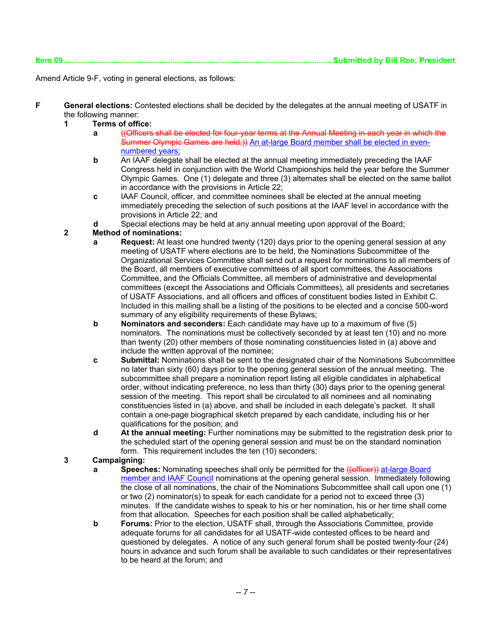| Submitted by Bill Roe, President |  |  |
|----------------------------------|--|--|
|                                  |  |  |

Amend Article 9-F, voting in general elections, as follows:

**F** General elections: Contested elections shall be decided by the delegates at the annual meeting of USATF in the following manner:

## **1 Terms of office:**

**Item 09........................................................................................................................... Submitted by Bill Roe, President** 

- **a** ((Officers shall be elected for four-year terms at the Annual Meeting in each year in which the Summer Olympic Games are held:)) An at-large Board member shall be elected in evennumbered years;
	- **b** An IAAF delegate shall be elected at the annual meeting immediately preceding the IAAF Congress held in conjunction with the World Championships held the year before the Summer Olympic Games. One (1) delegate and three (3) alternates shall be elected on the same ballot in accordance with the provisions in Article 22;
	- **c** IAAF Council, officer, and committee nominees shall be elected at the annual meeting immediately preceding the selection of such positions at the IAAF level in accordance with the provisions in Article 22; and
	- **d** Special elections may be held at any annual meeting upon approval of the Board;

## **2 Method of nominations:**

- **a Request:** At least one hundred twenty (120) days prior to the opening general session at any meeting of USATF where elections are to be held, the Nominations Subcommittee of the Organizational Services Committee shall send out a request for nominations to all members of the Board, all members of executive committees of all sport committees, the Associations Committee, and the Officials Committee, all members of administrative and developmental committees (except the Associations and Officials Committees), all presidents and secretaries of USATF Associations, and all officers and offices of constituent bodies listed in Exhibit C. Included in this mailing shall be a listing of the positions to be elected and a concise 500-word summary of any eligibility requirements of these Bylaws;
- **b Nominators and seconders:** Each candidate may have up to a maximum of five (5) nominators. The nominations must be collectively seconded by at least ten (10) and no more than twenty (20) other members of those nominating constituencies listed in (a) above and include the written approval of the nominee;
- **c Submittal:** Nominations shall be sent to the designated chair of the Nominations Subcommittee no later than sixty (60) days prior to the opening general session of the annual meeting. The subcommittee shall prepare a nomination report listing all eligible candidates in alphabetical order, without indicating preference, no less than thirty (30) days prior to the opening general session of the meeting. This report shall be circulated to all nominees and all nominating constituencies listed in (a) above, and shall be included in each delegate's packet. It shall contain a one-page biographical sketch prepared by each candidate, including his or her qualifications for the position; and
- **d At the annual meeting:** Further nominations may be submitted to the registration desk prior to the scheduled start of the opening general session and must be on the standard nomination form. This requirement includes the ten (10) seconders;

## **3 Campaigning:**

- **a Speeches:** Nominating speeches shall only be permitted for the ((officer)) at-large Board member and IAAF Council nominations at the opening general session. Immediately following the close of all nominations, the chair of the Nominations Subcommittee shall call upon one (1) or two (2) nominator(s) to speak for each candidate for a period not to exceed three (3) minutes. If the candidate wishes to speak to his or her nomination, his or her time shall come from that allocation. Speeches for each position shall be called alphabetically;
- **b** Forums: Prior to the election, USATF shall, through the Associations Committee, provide adequate forums for all candidates for all USATF-wide contested offices to be heard and questioned by delegates. A notice of any such general forum shall be posted twenty-four (24) hours in advance and such forum shall be available to such candidates or their representatives to be heard at the forum; and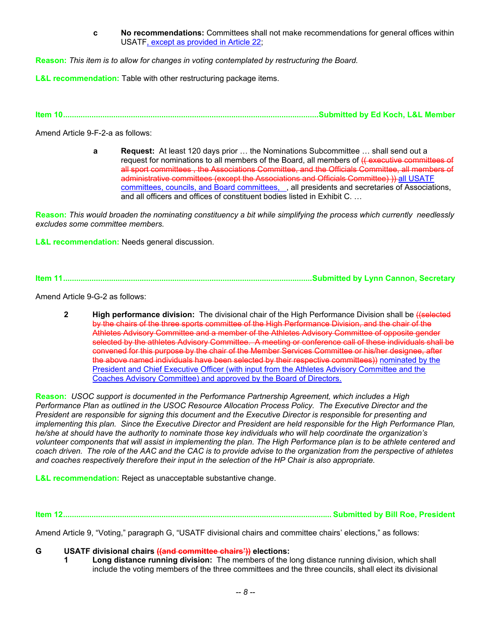**c No recommendations:** Committees shall not make recommendations for general offices within USATF, except as provided in Article 22;

**Reason:** *This item is to allow for changes in voting contemplated by restructuring the Board.* 

**L&L recommendation:** Table with other restructuring package items.

**Item 10.....................................................................................................................Submitted by Ed Koch, L&L Member** 

Amend Article 9-F-2-a as follows:

**a** Request: At least 120 days prior ... the Nominations Subcommittee ... shall send out a request for nominations to all members of the Board, all members of  $(f$  executive committees of all sport committees , the Associations Committee, and the Officials Committee, all members of administrative committees (except the Associations and Officials Committee) )) all USATF committees, councils, and Board committees, , all presidents and secretaries of Associations, and all officers and offices of constituent bodies listed in Exhibit C. …

**Reason:** *This would broaden the nominating constituency a bit while simplifying the process which currently needlessly excludes some committee members.* 

**L&L recommendation:** Needs general discussion.

**Item 11..................................................................................................................Submitted by Lynn Cannon, Secretary** 

Amend Article 9-G-2 as follows:

**2 High performance division:** The divisional chair of the High Performance Division shall be *((selected*) by the chairs of the three sports committee of the High Performance Division, and the chair of the Athletes Advisory Committee and a member of the Athletes Advisory Committee of opposite gender selected by the athletes Advisory Committee. A meeting or conference call of these individuals shall be convened for this purpose by the chair of the Member Services Committee or his/her designee, after the above named individuals have been selected by their respective committees)) nominated by the President and Chief Executive Officer (with input from the Athletes Advisory Committee and the Coaches Advisory Committee) and approved by the Board of Directors.

**Reason:** *USOC support is documented in the Performance Partnership Agreement, which includes a High Performance Plan as outlined in the USOC Resource Allocation Process Policy. The Executive Director and the President are responsible for signing this document and the Executive Director is responsible for presenting and implementing this plan. Since the Executive Director and President are held responsible for the High Performance Plan, he/she at should have the authority to nominate those key individuals who will help coordinate the organization's volunteer components that will assist in implementing the plan. The High Performance plan is to be athlete centered and coach driven. The role of the AAC and the CAC is to provide advise to the organization from the perspective of athletes and coaches respectively therefore their input in the selection of the HP Chair is also appropriate.*

**L&L recommendation:** Reject as unacceptable substantive change.

**Item 12........................................................................................................................... Submitted by Bill Roe, President** 

Amend Article 9, "Voting," paragraph G, "USATF divisional chairs and committee chairs' elections," as follows:

**G USATF divisional chairs ((and committee chairs')) elections:**

 **1 Long distance running division:** The members of the long distance running division, which shall include the voting members of the three committees and the three councils, shall elect its divisional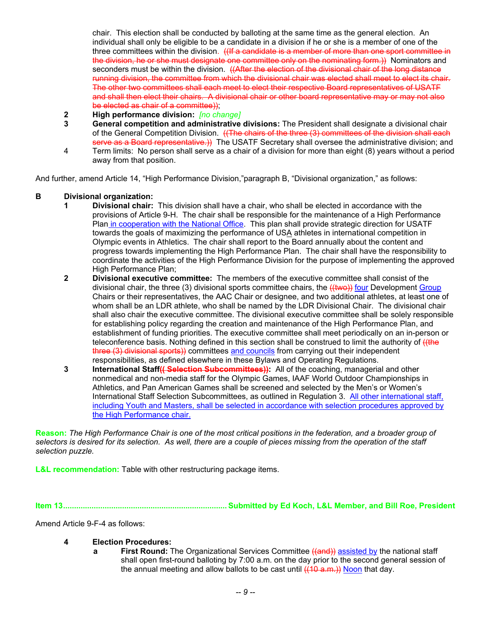chair. This election shall be conducted by balloting at the same time as the general election. An individual shall only be eligible to be a candidate in a division if he or she is a member of one of the three committees within the division. ((If a candidate is a member of more than one sport committee in the division, he or she must designate one committee only on the nominating form.)) Nominators and seconders must be within the division. ((After the election of the divisional chair of the long distance running division, the committee from which the divisional chair was elected shall meet to elect its chair. The other two committees shall each meet to elect their respective Board representatives of USATF and shall then elect their chairs. A divisional chair or other board representative may or may not also be elected as chair of a committee));

- **2 High performance division:** *[no change]*
- **3 General competition and administrative divisions:** The President shall designate a divisional chair of the General Competition Division. ((The chairs of the three (3) committees of the division shall each serve as a Board representative.)) The USATF Secretary shall oversee the administrative division; and
- 4 Term limits: No person shall serve as a chair of a division for more than eight (8) years without a period away from that position.

And further, amend Article 14, "High Performance Division,"paragraph B, "Divisional organization," as follows:

#### **B Divisional organization:**

- **1 Divisional chair:** This division shall have a chair, who shall be elected in accordance with the provisions of Article 9-H. The chair shall be responsible for the maintenance of a High Performance Plan in cooperation with the National Office. This plan shall provide strategic direction for USATF towards the goals of maximizing the performance of USA athletes in international competition in Olympic events in Athletics. The chair shall report to the Board annually about the content and progress towards implementing the High Performance Plan. The chair shall have the responsibility to coordinate the activities of the High Performance Division for the purpose of implementing the approved High Performance Plan;
- **2 Divisional executive committee:** The members of the executive committee shall consist of the divisional chair, the three (3) divisional sports committee chairs, the ((two)) four Development Group Chairs or their representatives, the AAC Chair or designee, and two additional athletes, at least one of whom shall be an LDR athlete, who shall be named by the LDR Divisional Chair. The divisional chair shall also chair the executive committee. The divisional executive committee shall be solely responsible for establishing policy regarding the creation and maintenance of the High Performance Plan, and establishment of funding priorities. The executive committee shall meet periodically on an in-person or teleconference basis. Nothing defined in this section shall be construed to limit the authority of ((the three (3) divisional sports)) committees and councils from carrying out their independent responsibilities, as defined elsewhere in these Bylaws and Operating Regulations.
- **3** International Staff<del>(( Selection Subcommittees))</del>: All of the coaching, managerial and other nonmedical and non-media staff for the Olympic Games, IAAF World Outdoor Championships in Athletics, and Pan American Games shall be screened and selected by the Men's or Women's International Staff Selection Subcommittees, as outlined in Regulation 3. All other international staff, including Youth and Masters, shall be selected in accordance with selection procedures approved by the High Performance chair.

**Reason:** *The High Performance Chair is one of the most critical positions in the federation, and a broader group of selectors is desired for its selection. As well, there are a couple of pieces missing from the operation of the staff selection puzzle.* 

**L&L recommendation:** Table with other restructuring package items.

**Item 13........................................................................... Submitted by Ed Koch, L&L Member, and Bill Roe, President** 

Amend Article 9-F-4 as follows:

- **4 Election Procedures:** 
	- **a First Round:** The Organizational Services Committee ((and)) assisted by the national staff shall open first-round balloting by 7:00 a.m. on the day prior to the second general session of the annual meeting and allow ballots to be cast until  $((10 a.m.))$  Noon that day.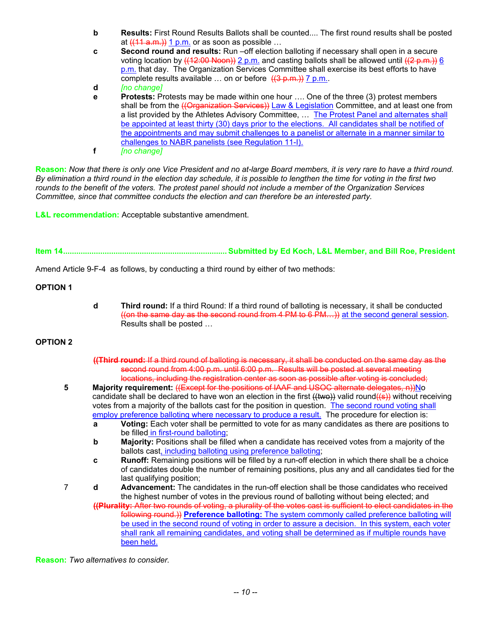- **b** Results: First Round Results Ballots shall be counted.... The first round results shall be posted at  $((11 a.m.)) 1 p.m.$  or as soon as possible ...
- **c Second round and results:** Run –off election balloting if necessary shall open in a secure voting location by  $((12:00 \text{ Noon}) 2 \text{ p.m.}$  and casting ballots shall be allowed until  $((2 \text{ p.m.}) 6$ p.m. that day. The Organization Services Committee shall exercise its best efforts to have complete results available  $\ldots$  on or before  $((3 \text{ p.m.}))$  7 p.m..

 **d** *[no change]*

- **e** Protests: Protests may be made within one hour .... One of the three (3) protest members shall be from the *((Organization Services)*) Law & Legislation Committee, and at least one from a list provided by the Athletes Advisory Committee, … The Protest Panel and alternates shall be appointed at least thirty (30) days prior to the elections. All candidates shall be notified of the appointments and may submit challenges to a panelist or alternate in a manner similar to challenges to NABR panelists (see Regulation 11-I).
- **f** *[no change]*

**Reason:** *Now that there is only one Vice President and no at-large Board members, it is very rare to have a third round. By elimination a third round in the election day schedule, it is possible to lengthen the time for voting in the first two rounds to the benefit of the voters. The protest panel should not include a member of the Organization Services Committee, since that committee conducts the election and can therefore be an interested party.*

**L&L recommendation:** Acceptable substantive amendment.

**Item 14........................................................................... Submitted by Ed Koch, L&L Member, and Bill Roe, President** 

Amend Article 9-F-4 as follows, by conducting a third round by either of two methods:

**OPTION 1** 

 **d Third round:** If a third Round: If a third round of balloting is necessary, it shall be conducted ((on the same day as the second round from  $4 \text{ PM}$  to  $6 \text{ PM}$ ) at the second general session. Results shall be posted …

## **OPTION 2**

- **((Third round:** If a third round of balloting is necessary, it shall be conducted on the same day as the second round from 4:00 p.m. until 6:00 p.m. Results will be posted at several meeting locations, including the registration center as soon as possible after voting is concluded;
- **5** Majority requirement: ((Except for the positions of IAAF and USOC alternate delegates, n))No candidate shall be declared to have won an election in the first  $(\text{two})$  valid round $(\text{(s)})$  without receiving votes from a majority of the ballots cast for the position in question. The second round voting shall employ preference balloting where necessary to produce a result. The procedure for election is:
	- **a Voting:** Each voter shall be permitted to vote for as many candidates as there are positions to be filled in first-round balloting;
	- **b** Majority: Positions shall be filled when a candidate has received votes from a majority of the ballots cast, including balloting using preference balloting;
	- **c Runoff:** Remaining positions will be filled by a run-off election in which there shall be a choice of candidates double the number of remaining positions, plus any and all candidates tied for the last qualifying position;
- 7 **d Advancement:** The candidates in the run-off election shall be those candidates who received the highest number of votes in the previous round of balloting without being elected; and
	- **((Plurality:** After two rounds of voting, a plurality of the votes cast is sufficient to elect candidates in the following round.)) **Preference balloting:** The system commonly called preference balloting will be used in the second round of voting in order to assure a decision. In this system, each voter shall rank all remaining candidates, and voting shall be determined as if multiple rounds have been held.

**Reason:** *Two alternatives to consider.*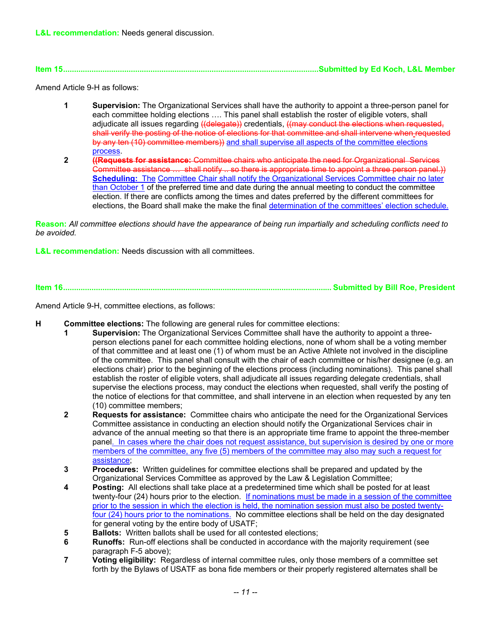**Item 15.....................................................................................................................Submitted by Ed Koch, L&L Member** 

Amend Article 9-H as follows:

- **1 Supervision:** The Organizational Services shall have the authority to appoint a three-person panel for each committee holding elections …. This panel shall establish the roster of eligible voters, shall adjudicate all issues regarding ((delegate)) credentials, ((may conduct the elections when requested, shall verify the posting of the notice of elections for that committee and shall intervene when requested by any ten (10) committee members)) and shall supervise all aspects of the committee elections process.
- **2 ((Requests for assistance:** Committee chairs who anticipate the need for Organizational Services Committee assistance … shall notify .. so there is appropriate time to appoint a three person panel.)) **Scheduling:** The Committee Chair shall notify the Organizational Services Committee chair no later than October 1 of the preferred time and date during the annual meeting to conduct the committee election. If there are conflicts among the times and dates preferred by the different committees for elections, the Board shall make the make the final determination of the committees' election schedule.

**Reason:** *All committee elections should have the appearance of being run impartially and scheduling conflicts need to be avoided.*

**L&L recommendation:** Needs discussion with all committees.

**Item 16........................................................................................................................... Submitted by Bill Roe, President** 

Amend Article 9-H, committee elections, as follows:

- **H Committee elections:** The following are general rules for committee elections:
	- **1 Supervision:** The Organizational Services Committee shall have the authority to appoint a threeperson elections panel for each committee holding elections, none of whom shall be a voting member of that committee and at least one (1) of whom must be an Active Athlete not involved in the discipline of the committee. This panel shall consult with the chair of each committee or his/her designee (e.g. an elections chair) prior to the beginning of the elections process (including nominations). This panel shall establish the roster of eligible voters, shall adjudicate all issues regarding delegate credentials, shall supervise the elections process, may conduct the elections when requested, shall verify the posting of the notice of elections for that committee, and shall intervene in an election when requested by any ten (10) committee members;
	- **2 Requests for assistance:** Committee chairs who anticipate the need for the Organizational Services Committee assistance in conducting an election should notify the Organizational Services chair in advance of the annual meeting so that there is an appropriate time frame to appoint the three-member panel. In cases where the chair does not request assistance, but supervision is desired by one or more members of the committee, any five (5) members of the committee may also may such a request for assistance;
	- **3 Procedures:** Written guidelines for committee elections shall be prepared and updated by the Organizational Services Committee as approved by the Law & Legislation Committee;
	- **4 Posting:** All elections shall take place at a predetermined time which shall be posted for at least twenty-four (24) hours prior to the election. If nominations must be made in a session of the committee prior to the session in which the election is held, the nomination session must also be posted twentyfour (24) hours prior to the nominations. No committee elections shall be held on the day designated for general voting by the entire body of USATF;
	- **5 Ballots:** Written ballots shall be used for all contested elections;
	- **6** Runoffs: Run-off elections shall be conducted in accordance with the majority requirement (see paragraph F-5 above);
	- **7 Voting eligibility:** Regardless of internal committee rules, only those members of a committee set forth by the Bylaws of USATF as bona fide members or their properly registered alternates shall be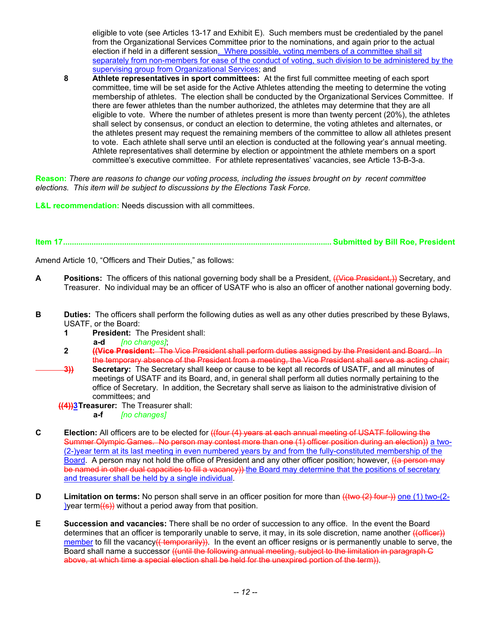eligible to vote (see Articles 13-17 and Exhibit E). Such members must be credentialed by the panel from the Organizational Services Committee prior to the nominations, and again prior to the actual election if held in a different session. Where possible, voting members of a committee shall sit separately from non-members for ease of the conduct of voting, such division to be administered by the supervising group from Organizational Services; and

**8 Athlete representatives in sport committees:** At the first full committee meeting of each sport committee, time will be set aside for the Active Athletes attending the meeting to determine the voting membership of athletes. The election shall be conducted by the Organizational Services Committee. If there are fewer athletes than the number authorized, the athletes may determine that they are all eligible to vote. Where the number of athletes present is more than twenty percent (20%), the athletes shall select by consensus, or conduct an election to determine, the voting athletes and alternates, or the athletes present may request the remaining members of the committee to allow all athletes present to vote. Each athlete shall serve until an election is conducted at the following year's annual meeting. Athlete representatives shall determine by election or appointment the athlete members on a sport committee's executive committee. For athlete representatives' vacancies, see Article 13-B-3-a.

**Reason:** *There are reasons to change our voting process, including the issues brought on by recent committee elections. This item will be subject to discussions by the Elections Task Force.* 

**L&L recommendation:** Needs discussion with all committees.

**Item 17........................................................................................................................... Submitted by Bill Roe, President** 

Amend Article 10, "Officers and Their Duties," as follows:

- **A** Positions: The officers of this national governing body shall be a President, ((Vice President,)) Secretary, and Treasurer. No individual may be an officer of USATF who is also an officer of another national governing body.
- **B** Duties: The officers shall perform the following duties as well as any other duties prescribed by these Bylaws, USATF, or the Board:
	- **1 President:** The President shall:
		- **a-d** *[no changes]*;
	- **2 ((Vice President:** The Vice President shall perform duties assigned by the President and Board. In the temporary absence of the President from a meeting, the Vice President shall serve as acting chair;
	- **3))** Secretary: The Secretary shall keep or cause to be kept all records of USATF, and all minutes of meetings of USATF and its Board, and, in general shall perform all duties normally pertaining to the office of Secretary. In addition, the Secretary shall serve as liaison to the administrative division of committees; and
		- **((4))3 Treasurer:** The Treasurer shall:
			- **a-f** *[no changes]*
- **C Election:** All officers are to be elected for ((four (4) years at each annual meeting of USATF following the Summer Olympic Games. No person may contest more than one (1) officer position during an election)) a two-(2-)year term at its last meeting in even numbered years by and from the fully-constituted membership of the Board. A person may not hold the office of President and any other officer position; however, ((a person may be named in other dual capacities to fill a vacancy)) the Board may determine that the positions of secretary and treasurer shall be held by a single individual.
- **D** Limitation on terms: No person shall serve in an officer position for more than  $((\text{two-}(2)$  four-)) one (1) two-(2-)year term $((s))$  without a period away from that position.
- **E Succession and vacancies:** There shall be no order of succession to any office. In the event the Board determines that an officer is temporarily unable to serve, it may, in its sole discretion, name another ((officer)) member to fill the vacancy<del>(( temporarily))</del>. In the event an officer resigns or is permanently unable to serve, the Board shall name a successor ((until the following annual meeting, subject to the limitation in paragraph C above, at which time a special election shall be held for the unexpired portion of the term)).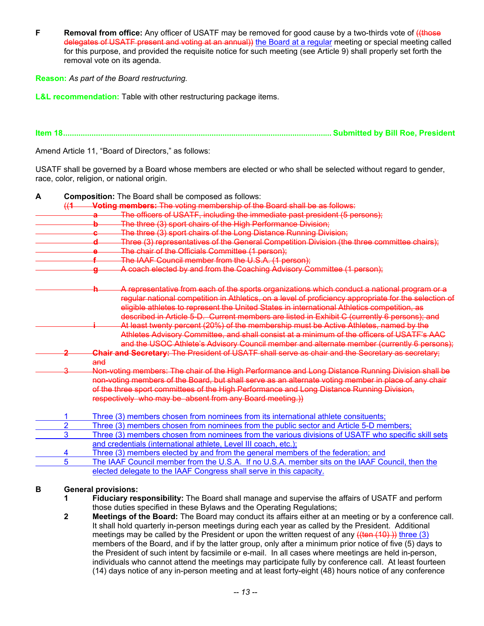**F** Removal from office: Any officer of USATF may be removed for good cause by a two-thirds vote of  $($ (those delegates of USATF present and voting at an annual)) the Board at a regular meeting or special meeting called for this purpose, and provided the requisite notice for such meeting (see Article 9) shall properly set forth the removal vote on its agenda.

**Reason:** *As part of the Board restructuring.* 

**L&L recommendation:** Table with other restructuring package items.

**Item 18........................................................................................................................... Submitted by Bill Roe, President** 

Amend Article 11, "Board of Directors," as follows:

USATF shall be governed by a Board whose members are elected or who shall be selected without regard to gender, race, color, religion, or national origin.

| A |                | <b>Composition:</b> The Board shall be composed as follows:                                                                                                                              |
|---|----------------|------------------------------------------------------------------------------------------------------------------------------------------------------------------------------------------|
|   |                | (1 Voting members: The voting membership of the Board shall be as follows:                                                                                                               |
|   |                | The officers of USATF, including the immediate past president (5 persons);                                                                                                               |
|   |                | The three (3) sport chairs of the High Performance Division;<br>b                                                                                                                        |
|   |                | The three (3) sport chairs of the Long Distance Running Division;                                                                                                                        |
|   |                | Three (3) representatives of the General Competition Division (the three committee chairs);                                                                                              |
|   |                | The chair of the Officials Committee (1 person);                                                                                                                                         |
|   |                | The IAAF Council member from the U.S.A. (1 person);                                                                                                                                      |
|   |                | A coach elected by and from the Coaching Advisory Committee (1 person);                                                                                                                  |
|   |                | A representative from each of the sports organizations which conduct a national program or a                                                                                             |
|   |                | regular national competition in Athletics, on a level of proficiency appropriate for the selection of                                                                                    |
|   |                | eligible athletes to represent the United States in international Athletics competition, as                                                                                              |
|   |                | described in Article 5-D. Current members are listed in Exhibit C (currently 6 persons); and                                                                                             |
|   |                | At least twenty percent (20%) of the membership must be Active Athletes, named by the                                                                                                    |
|   |                | Athletes Advisory Committee, and shall consist at a minimum of the officers of USATF's AAC<br>and the USOC Athlete's Advisory Council member and alternate member (currently 6 persons); |
|   |                |                                                                                                                                                                                          |
|   |                | Chair and Secretary: The President of USATF shall serve as chair and the Secretary as secretary:<br>and                                                                                  |
|   |                | Non-voting members: The chair of the High Performance and Long Distance Running Division shall be                                                                                        |
|   |                | non-voting members of the Board, but shall serve as an alternate voting member in place of any chair                                                                                     |
|   |                | of the three sport committees of the High Performance and Long Distance Running Division,                                                                                                |
|   |                | respectively who may be absent from any Board meeting.))                                                                                                                                 |
|   |                |                                                                                                                                                                                          |
|   | 1              | Three (3) members chosen from nominees from its international athlete consituents;                                                                                                       |
|   | $\overline{2}$ | Three (3) members chosen from nominees from the public sector and Article 5-D members;                                                                                                   |
|   | 3              | Three (3) members chosen from nominees from the various divisions of USATF who specific skill sets                                                                                       |
|   |                | and credentials (international athlete, Level III coach, etc.);                                                                                                                          |
|   | 4              | Three (3) members elected by and from the general members of the federation; and                                                                                                         |
|   | 5              | The IAAF Council member from the U.S.A. If no U.S.A. member sits on the IAAF Council, then the                                                                                           |
|   |                | elected delegate to the IAAF Congress shall serve in this capacity.                                                                                                                      |
| в |                | <b>General provisions:</b>                                                                                                                                                               |
|   | 1              | Fiduciary responsibility: The Board shall manage and supervise the affairs of USATF and perform                                                                                          |
|   |                | those duties specified in these Bylaws and the Operating Regulations;                                                                                                                    |

 **2 Meetings of the Board:** The Board may conduct its affairs either at an meeting or by a conference call. It shall hold quarterly in-person meetings during each year as called by the President. Additional meetings may be called by the President or upon the written request of any  $((ten (10))$ ) three (3) members of the Board, and if by the latter group, only after a minimum prior notice of five (5) days to the President of such intent by facsimile or e-mail. In all cases where meetings are held in-person, individuals who cannot attend the meetings may participate fully by conference call. At least fourteen (14) days notice of any in-person meeting and at least forty-eight (48) hours notice of any conference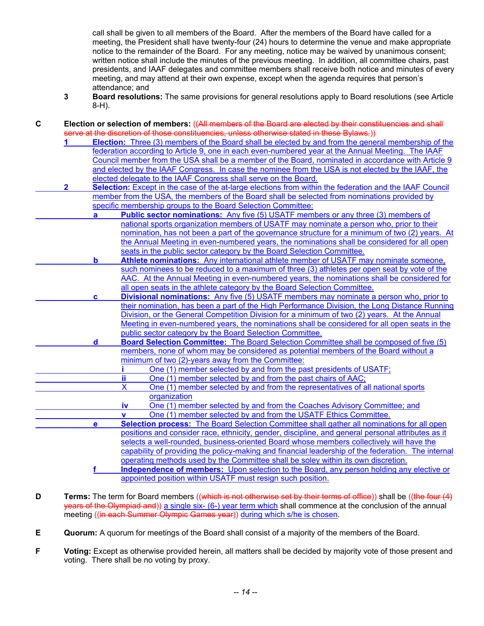call shall be given to all members of the Board. After the members of the Board have called for a meeting, the President shall have twenty-four (24) hours to determine the venue and make appropriate notice to the remainder of the Board. For any meeting, notice may be waived by unanimous consent; written notice shall include the minutes of the previous meeting. In addition, all committee chairs, past presidents, and IAAF delegates and committee members shall receive both notice and minutes of every meeting, and may attend at their own expense, except when the agenda requires that person's attendance; and

**3 Board resolutions:** The same provisions for general resolutions apply to Board resolutions (see Article 8-H).

**C Election or selection of members:** ((All members of the Board are elected by their constituencies and shall

|              |             | serve at the discretion of those constituencies, unless otherwise stated in these Bylaws.))                                                             |
|--------------|-------------|---------------------------------------------------------------------------------------------------------------------------------------------------------|
|              |             | Election: Three (3) members of the Board shall be elected by and from the general membership of the                                                     |
|              |             | federation according to Article 9, one in each even-numbered year at the Annual Meeting. The IAAF                                                       |
|              |             | Council member from the USA shall be a member of the Board, nominated in accordance with Article 9                                                      |
|              |             | and elected by the IAAF Congress. In case the nominee from the USA is not elected by the IAAF, the                                                      |
|              |             | elected delegate to the IAAF Congress shall serve on the Board.                                                                                         |
| $\mathbf{2}$ |             | Selection: Except in the case of the at-large elections from within the federation and the IAAF Council                                                 |
|              |             | member from the USA, the members of the Board shall be selected from nominations provided by                                                            |
|              |             | specific membership groups to the Board Selection Committee:                                                                                            |
|              | a           | <b>Public sector nominations:</b> Any five (5) USATF members or any three (3) members of                                                                |
|              |             | national sports organization members of USATF may nominate a person who, prior to their                                                                 |
|              |             | nomination, has not been a part of the governance structure for a minimum of two (2) years. At                                                          |
|              |             | the Annual Meeting in even-numbered years, the nominations shall be considered for all open                                                             |
|              |             | seats in the public sector category by the Board Selection Committee.                                                                                   |
|              | b           | Athlete nominations: Any international athlete member of USATF may nominate someone,                                                                    |
|              |             | such nominees to be reduced to a maximum of three (3) athletes per open seat by vote of the                                                             |
|              |             | AAC. At the Annual Meeting in even-numbered years, the nominations shall be considered for                                                              |
|              |             | all open seats in the athlete category by the Board Selection Committee.                                                                                |
|              | c           | <b>Divisional nominations:</b> Any five (5) USATF members may nominate a person who, prior to                                                           |
|              |             | their nomination, has been a part of the High Performance Division, the Long Distance Running                                                           |
|              |             | Division, or the General Competition Division for a minimum of two (2) years. At the Annual                                                             |
|              |             | Meeting in even-numbered years, the nominations shall be considered for all open seats in the                                                           |
|              |             | public sector category by the Board Selection Committee.                                                                                                |
|              | $\mathbf d$ | Board Selection Committee: The Board Selection Committee shall be composed of five (5)                                                                  |
|              |             | members, none of whom may be considered as potential members of the Board without a                                                                     |
|              |             | minimum of two (2)-years away from the Committee:                                                                                                       |
|              |             | One (1) member selected by and from the past presidents of USATF;                                                                                       |
|              |             | ij<br>One (1) member selected by and from the past chairs of AAC;<br>X                                                                                  |
|              |             | One (1) member selected by and from the representatives of all national sports                                                                          |
|              |             | organization                                                                                                                                            |
|              |             | One (1) member selected by and from the Coaches Advisory Committee; and<br><u>iv</u><br>One (1) member selected by and from the USATF Ethics Committee. |
|              |             | $\mathbf v$<br><b>Selection process:</b> The Board Selection Committee shall gather all nominations for all open                                        |
|              | e           | positions and consider race, ethnicity, gender, discipline, and general personal attributes as it                                                       |
|              |             | selects a well-rounded, business-oriented Board whose members collectively will have the                                                                |
|              |             | capability of providing the policy-making and financial leadership of the federation. The internal                                                      |
|              |             | operating methods used by the Committee shall be soley within its own discretion.                                                                       |
|              |             | <b>Independence of members:</b> Upon selection to the Board, any person holding any elective or                                                         |
|              |             | appointed position within USATF must resign such position.                                                                                              |
|              |             |                                                                                                                                                         |

- **D** Terms: The term for Board members ((which is not otherwise set by their terms of office)) shall be ((the four (4) years of the Olympiad and)) a single six- (6-) year term which shall commence at the conclusion of the annual meeting ((in each Summer Olympic Games year)) during which s/he is chosen.
- **E Quorum:** A quorum for meetings of the Board shall consist of a majority of the members of the Board.
- **F Voting:** Except as otherwise provided herein, all matters shall be decided by majority vote of those present and voting. There shall be no voting by proxy.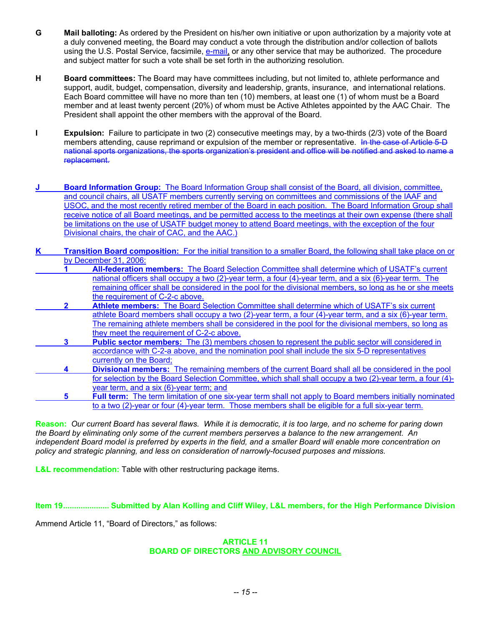- **G Mail balloting:** As ordered by the President on his/her own initiative or upon authorization by a majority vote at a duly convened meeting, the Board may conduct a vote through the distribution and/or collection of ballots using the U.S. Postal Service, facsimile, e-mail, or any other service that may be authorized. The procedure and subject matter for such a vote shall be set forth in the authorizing resolution.
- **H Board committees:** The Board may have committees including, but not limited to, athlete performance and support, audit, budget, compensation, diversity and leadership, grants, insurance, and international relations. Each Board committee will have no more than ten (10) members, at least one (1) of whom must be a Board member and at least twenty percent (20%) of whom must be Active Athletes appointed by the AAC Chair. The President shall appoint the other members with the approval of the Board.
- **I Expulsion:** Failure to participate in two (2) consecutive meetings may, by a two-thirds (2/3) vote of the Board members attending, cause reprimand or expulsion of the member or representative. In the case of Article 5-D national sports organizations, the sports organization's president and office will be notified and asked to name a replacement.
- **Board Information Group:** The Board Information Group shall consist of the Board, all division, committee, and council chairs, all USATF members currently serving on committees and commissions of the IAAF and USOC, and the most recently retired member of the Board in each position. The Board Information Group shall receive notice of all Board meetings, and be permitted access to the meetings at their own expense (there shall be limitations on the use of USATF budget money to attend Board meetings, with the exception of the four Divisional chairs, the chair of CAC, and the AAC.)
- **K Transition Board composition:** For the initial transition to a smaller Board, the following shall take place on or by December 31, 2006:
	- **1 All-federation members:** The Board Selection Committee shall determine which of USATF's current national officers shall occupy a two (2)-year term, a four (4)-year term, and a six (6)-year term. The remaining officer shall be considered in the pool for the divisional members, so long as he or she meets the requirement of C-2-c above.
- **2 Athlete members:** The Board Selection Committee shall determine which of USATF's six current athlete Board members shall occupy a two (2)-year term, a four (4)-year term, and a six (6)-year term. The remaining athlete members shall be considered in the pool for the divisional members, so long as they meet the requirement of C-2-c above.
- **3** Public sector members: The (3) members chosen to represent the public sector will considered in accordance with C-2-a above, and the nomination pool shall include the six 5-D representatives currently on the Board;
- **4 Divisional members:** The remaining members of the current Board shall all be considered in the pool for selection by the Board Selection Committee, which shall shall occupy a two (2)-year term, a four (4)year term, and a six (6)-year term; and
- **5 Full term:** The term limitation of one six-year term shall not apply to Board members initially nominated to a two (2)-year or four (4)-year term. Those members shall be eligible for a full six-year term.

**Reason:** *Our current Board has several flaws. While it is democratic, it is too large, and no scheme for paring down the Board by eliminating only some of the current members perserves a balance to the new arrangement. An independent Board model is preferred by experts in the field, and a smaller Board will enable more concentration on policy and strategic planning, and less on consideration of narrowly-focused purposes and missions.* 

**L&L recommendation:** Table with other restructuring package items.

**Item 19..................... Submitted by Alan Kolling and Cliff Wiley, L&L members, for the High Performance Division** 

Ammend Article 11, "Board of Directors," as follows:

#### **ARTICLE 11 BOARD OF DIRECTORS AND ADVISORY COUNCIL**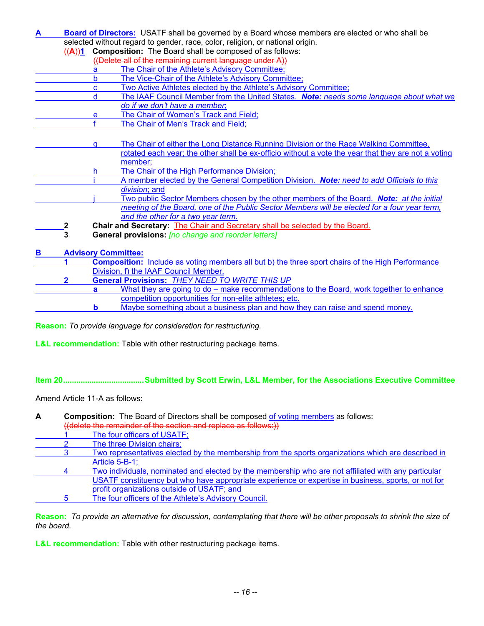**A Board of Directors:** USATF shall be governed by a Board whose members are elected or who shall be selected without regard to gender, race, color, religion, or national origin. ((**A**))**1 Composition:** The Board shall be composed of as follows: ((Delete all of the remaining current language under A)) a The Chair of the Athlete's Advisory Committee;<br>b The Vice-Chair of the Athlete's Advisory Commi The Vice-Chair of the Athlete's Advisory Committee; c Two Active Athletes elected by the Athlete's Advisory Committee; d The IAAF Council Member from the United States. *Note: needs some language about what we do if we don't have a member*; e The Chair of Women's Track and Field; f The Chair of Men's Track and Field; g The Chair of either the Long Distance Running Division or the Race Walking Committee, rotated each year; the other shall be ex-officio without a vote the year that they are not a voting member; h The Chair of the High Performance Division; i A member elected by the General Competition Division. *Note: need to add Officials to this division*; and j Two public Sector Members chosen by the other members of the Board. *Note: at the initial meeting of the Board, one of the Public Sector Members will be elected for a four year term, and the other for a two year term.*  **2 Chair and Secretary:** The Chair and Secretary shall be selected by the Board. **3 General provisions:** *[no change and reorder letters]* **B Advisory Committee: 1 Composition:** Include as voting members all but b) the three sport chairs of the High Performance Division, f) the IAAF Council Member.

- **2 General Provisions:** *THEY NEED TO WRITE THIS UP*
	- **a** What they are going to do make recommendations to the Board, work together to enhance competition opportunities for non-elite athletes; etc.
		- **b** Maybe something about a business plan and how they can raise and spend money.

**Reason:** *To provide language for consideration for restructuring.* 

**L&L recommendation:** Table with other restructuring package items.

**Item 20.....................................Submitted by Scott Erwin, L&L Member, for the Associations Executive Committee** 

Amend Article 11-A as follows:

| A | <b>Composition:</b> The Board of Directors shall be composed of voting members as follows: |                                                                                                     |  |
|---|--------------------------------------------------------------------------------------------|-----------------------------------------------------------------------------------------------------|--|
|   |                                                                                            | ((delete the remainder of the section and replace as follows:))                                     |  |
|   |                                                                                            | The four officers of USATF;                                                                         |  |
|   |                                                                                            | The three Division chairs;                                                                          |  |
|   |                                                                                            | Two representatives elected by the membership from the sports organizations which are described in  |  |
|   |                                                                                            | Article $5 - B - 1$ ;                                                                               |  |
|   |                                                                                            | Two individuals, nominated and elected by the membership who are not affiliated with any particular |  |
|   |                                                                                            | USATF constituency but who have appropriate experience or expertise in business, sports, or not for |  |
|   |                                                                                            | profit organizations outside of USATF; and                                                          |  |
|   | h                                                                                          | The four officers of the Athlete's Advisory Council.                                                |  |

**Reason:** *To provide an alternative for discussion, contemplating that there will be other proposals to shrink the size of the board.* 

**L&L recommendation:** Table with other restructuring package items.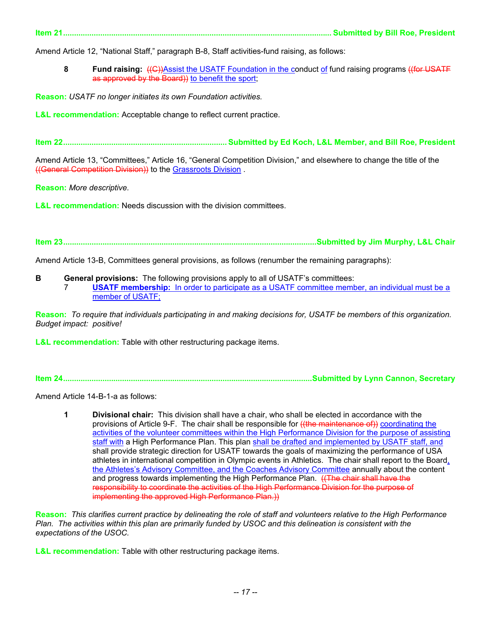**Item 21........................................................................................................................... Submitted by Bill Roe, President** 

Amend Article 12, "National Staff," paragraph B-8, Staff activities-fund raising, as follows:

8 Fund raising: ((C))Assist the USATF Foundation in the conduct of fund raising programs ((for USATF as approved by the Board)) to benefit the sport;

**Reason:** *USATF no longer initiates its own Foundation activities.* 

**L&L recommendation:** Acceptable change to reflect current practice.

**Item 22........................................................................... Submitted by Ed Koch, L&L Member, and Bill Roe, President** 

Amend Article 13, "Committees," Article 16, "General Competition Division," and elsewhere to change the title of the ((General Competition Division)) to the Grassroots Division .

**Reason:** *More descriptive.*

**L&L recommendation:** Needs discussion with the division committees.

**Item 23....................................................................................................................Submitted by Jim Murphy, L&L Chair** 

Amend Article 13-B, Committees general provisions, as follows (renumber the remaining paragraphs):

**B General provisions:** The following provisions apply to all of USATF's committees: 7 **USATF membership:** In order to participate as a USATF committee member, an individual must be a member of USATF;

**Reason:** *To require that individuals participating in and making decisions for, USATF be members of this organization. Budget impact: positive!* 

**L&L recommendation:** Table with other restructuring package items.

**Item 24..................................................................................................................Submitted by Lynn Cannon, Secretary** 

Amend Article 14-B-1-a as follows:

 **1 Divisional chair:** This division shall have a chair, who shall be elected in accordance with the provisions of Article 9-F. The chair shall be responsible for ((the maintenance of)) coordinating the activities of the volunteer committees within the High Performance Division for the purpose of assisting staff with a High Performance Plan. This plan shall be drafted and implemented by USATF staff, and shall provide strategic direction for USATF towards the goals of maximizing the performance of USA athletes in international competition in Olympic events in Athletics. The chair shall report to the Board, the Athletes's Advisory Committee, and the Coaches Advisory Committee annually about the content and progress towards implementing the High Performance Plan. ((The chair shall have the responsibility to coordinate the activities of the High Performance Division for the purpose of implementing the approved High Performance Plan.)

**Reason:** *This clarifies current practice by delineating the role of staff and volunteers relative to the High Performance Plan. The activities within this plan are primarily funded by USOC and this delineation is consistent with the expectations of the USOC.* 

**L&L recommendation:** Table with other restructuring package items.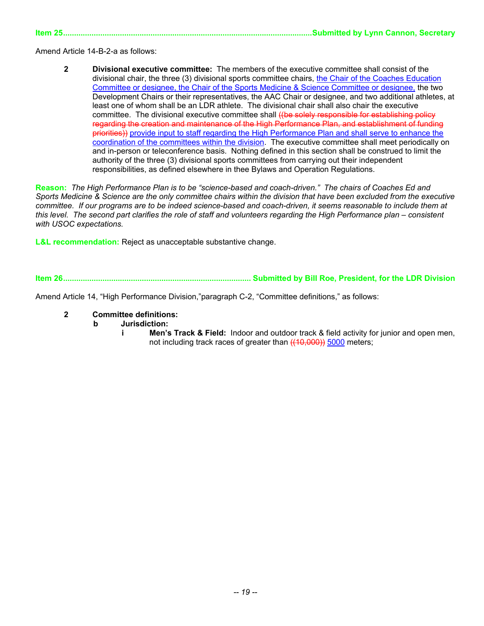**Item 25..................................................................................................................Submitted by Lynn Cannon, Secretary** 

Amend Article 14-B-2-a as follows:

 **2 Divisional executive committee:** The members of the executive committee shall consist of the divisional chair, the three (3) divisional sports committee chairs, the Chair of the Coaches Education Committee or designee, the Chair of the Sports Medicine & Science Committee or designee, the two Development Chairs or their representatives, the AAC Chair or designee, and two additional athletes, at least one of whom shall be an LDR athlete. The divisional chair shall also chair the executive committee. The divisional executive committee shall ((be solely responsible for establishing policy regarding the creation and maintenance of the High Performance Plan, and establishment of funding priorities)) provide input to staff regarding the High Performance Plan and shall serve to enhance the coordination of the committees within the division. The executive committee shall meet periodically on and in-person or teleconference basis. Nothing defined in this section shall be construed to limit the authority of the three (3) divisional sports committees from carrying out their independent responsibilities, as defined elsewhere in thee Bylaws and Operation Regulations.

**Reason:** *The High Performance Plan is to be "science-based and coach-driven." The chairs of Coaches Ed and Sports Medicine & Science are the only committee chairs within the division that have been excluded from the executive*  committee. If our programs are to be indeed science-based and coach-driven, it seems reasonable to include them at *this level. The second part clarifies the role of staff and volunteers regarding the High Performance plan – consistent with USOC expectations.* 

**L&L recommendation:** Reject as unacceptable substantive change.

**Item 26...................................................................................... Submitted by Bill Roe, President, for the LDR Division** 

Amend Article 14, "High Performance Division,"paragraph C-2, "Committee definitions," as follows:

- **2 Committee definitions:** 
	- **b Jurisdiction:** 
		- **i** Men's Track & Field: Indoor and outdoor track & field activity for junior and open men, not including track races of greater than  $(10,000)$  5000 meters;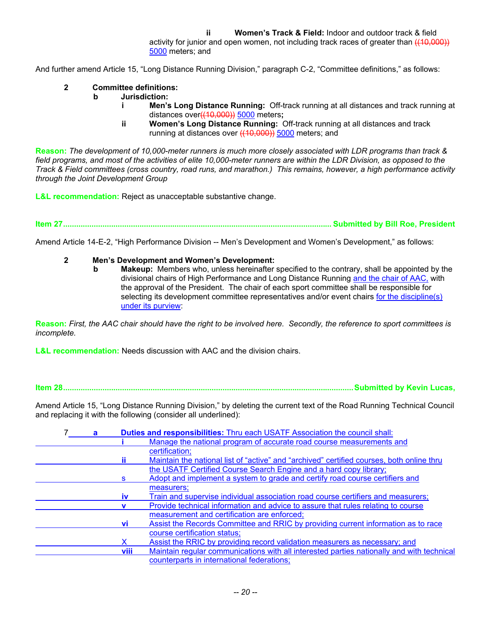**ii Women's Track & Field:** Indoor and outdoor track & field activity for junior and open women, not including track races of greater than  $( (10,000))$ 5000 meters; and

And further amend Article 15, "Long Distance Running Division," paragraph C-2, "Committee definitions," as follows:

- **2 Committee definitions:** 
	- **b Jurisdiction:** 
		- **i Men's Long Distance Running:** Off-track running at all distances and track running at distances over((10,000)) 5000 meters**;**
		- **ii Women's Long Distance Running:** Off-track running at all distances and track running at distances over ((10,000)) 5000 meters; and

**Reason:** *The development of 10,000-meter runners is much more closely associated with LDR programs than track &*  field programs, and most of the activities of elite 10,000-meter runners are within the LDR Division, as opposed to the *Track & Field committees (cross country, road runs, and marathon.) This remains, however, a high performance activity through the Joint Development Group* 

**L&L recommendation:** Reject as unacceptable substantive change.

**Item 27........................................................................................................................... Submitted by Bill Roe, President** 

Amend Article 14-E-2, "High Performance Division -- Men's Development and Women's Development," as follows:

 **2 Men's Development and Women's Development:** 

**b** Makeup: Members who, unless hereinafter specified to the contrary, shall be appointed by the divisional chairs of High Performance and Long Distance Running and the chair of AAC, with the approval of the President. The chair of each sport committee shall be responsible for selecting its development committee representatives and/or event chairs for the discipline(s) under its purview:

**Reason:** *First, the AAC chair should have the right to be involved here. Secondly, the reference to sport committees is incomplete.* 

**L&L recommendation:** Needs discussion with AAC and the division chairs.

**Item 28.....................................................................................................................................Submitted by Kevin Lucas,** 

Amend Article 15, "Long Distance Running Division," by deleting the current text of the Road Running Technical Council and replacing it with the following (consider all underlined):

|           | Duties and responsibilities: Thru each USATF Association the council shall:               |
|-----------|-------------------------------------------------------------------------------------------|
|           | Manage the national program of accurate road course measurements and                      |
|           | certification;                                                                            |
|           | Maintain the national list of "active" and "archived" certified courses, both online thru |
|           | the USATF Certified Course Search Engine and a hard copy library;                         |
| s         | Adopt and implement a system to grade and certify road course certifiers and              |
|           | measurers;                                                                                |
| <b>IV</b> | Train and supervise individual association road course certifiers and measurers;          |
|           | Provide technical information and advice to assure that rules relating to course          |
|           | measurement and certification are enforced;                                               |
| vi        | Assist the Records Committee and RRIC by providing current information as to race         |
|           | course certification status;                                                              |
|           | Assist the RRIC by providing record validation measurers as necessary; and                |
| viii      | Maintain regular communications with all interested parties nationally and with technical |
|           | counterparts in international federations;                                                |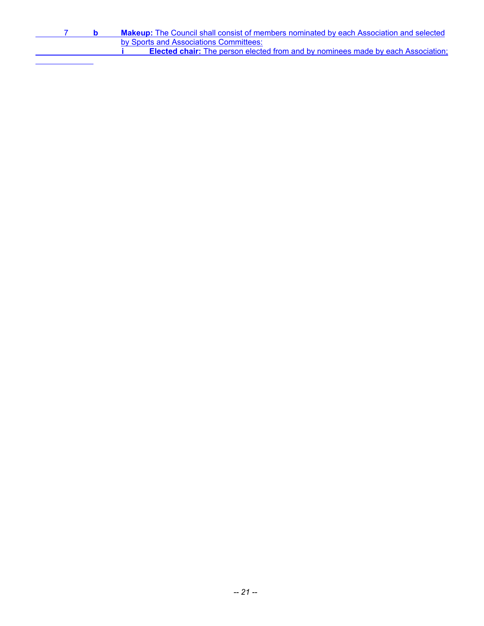|  | <b>Makeup:</b> The Council shall consist of members nominated by each Association and selected |
|--|------------------------------------------------------------------------------------------------|
|  | by Sports and Associations Committees:                                                         |
|  | <b>Elected chair:</b> The person elected from and by nominees made by each Association;        |
|  |                                                                                                |

l,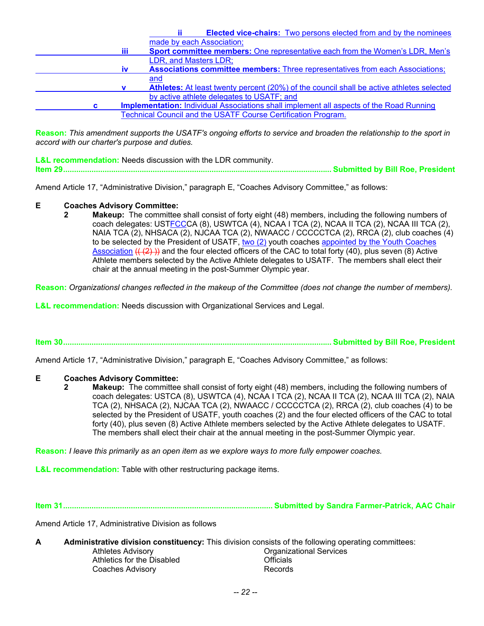|      |                       |                                                                      | <b>Elected vice-chairs:</b> Two persons elected from and by the nominees                        |
|------|-----------------------|----------------------------------------------------------------------|-------------------------------------------------------------------------------------------------|
|      |                       | made by each Association;                                            |                                                                                                 |
| iii. |                       |                                                                      | <b>Sport committee members:</b> One representative each from the Women's LDR, Men's             |
|      | LDR, and Masters LDR; |                                                                      |                                                                                                 |
| iv.  |                       |                                                                      | Associations committee members: Three representatives from each Associations;                   |
|      | and                   |                                                                      |                                                                                                 |
|      |                       |                                                                      | <b>Athletes:</b> At least twenty percent (20%) of the council shall be active athletes selected |
|      |                       | by active athlete delegates to USATF; and                            |                                                                                                 |
| C.   |                       |                                                                      | <b>Implementation:</b> Individual Associations shall implement all aspects of the Road Running  |
|      |                       | <b>Technical Council and the USATF Course Certification Program.</b> |                                                                                                 |

**Reason:** *This amendment supports the USATF's ongoing efforts to service and broaden the relationship to the sport in accord with our charter's purpose and duties.* 

**L&L recommendation:** Needs discussion with the LDR community. **Item 29........................................................................................................................... Submitted by Bill Roe, President** 

Amend Article 17, "Administrative Division," paragraph E, "Coaches Advisory Committee," as follows:

#### **E Coaches Advisory Committee:**

 **2 Makeup:** The committee shall consist of forty eight (48) members, including the following numbers of coach delegates: USTFCCCA (8), USWTCA (4), NCAA I TCA (2), NCAA II TCA (2), NCAA III TCA (2), NAIA TCA (2), NHSACA (2), NJCAA TCA (2), NWAACC / CCCCCTCA (2), RRCA (2), club coaches (4) to be selected by the President of USATF, two (2) youth coaches appointed by the Youth Coaches Association  $((2))$  and the four elected officers of the CAC to total forty (40), plus seven (8) Active Athlete members selected by the Active Athlete delegates to USATF. The members shall elect their chair at the annual meeting in the post-Summer Olympic year.

**Reason:** *Organizationsl changes reflected in the makeup of the Committee (does not change the number of members).*

**L&L recommendation:** Needs discussion with Organizational Services and Legal.

**Item 30........................................................................................................................... Submitted by Bill Roe, President** 

Amend Article 17, "Administrative Division," paragraph E, "Coaches Advisory Committee," as follows:

#### **E Coaches Advisory Committee:**

**2** Makeup: The committee shall consist of forty eight (48) members, including the following numbers of coach delegates: USTCA (8), USWTCA (4), NCAA I TCA (2), NCAA II TCA (2), NCAA III TCA (2), NAIA TCA (2), NHSACA (2), NJCAA TCA (2), NWAACC / CCCCCTCA (2), RRCA (2), club coaches (4) to be selected by the President of USATF, youth coaches (2) and the four elected officers of the CAC to total forty (40), plus seven (8) Active Athlete members selected by the Active Athlete delegates to USATF. The members shall elect their chair at the annual meeting in the post-Summer Olympic year.

**Reason:** *I leave this primarily as an open item as we explore ways to more fully empower coaches.*

**L&L recommendation:** Table with other restructuring package items.

**Item 31................................................................................................ Submitted by Sandra Farmer-Patrick, AAC Chair** 

Amend Article 17, Administrative Division as follows

**A Administrative division constituency:** This division consists of the following operating committees: Athletes Advisory **Contract Athletes Advisory Contract Athletes** Advisory **Contract Athletes** Athletics for the Disabled<br>
Coaches Advisory<br>
Coaches Advisory<br>
Coaches Advisory Coaches Advisory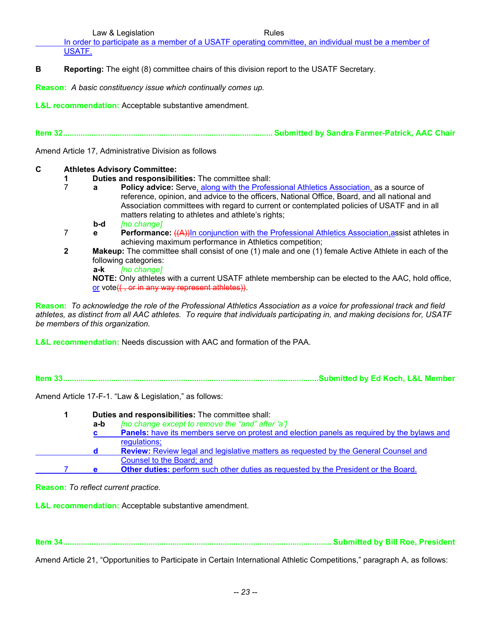Law & Legislation **Rules** Rules

 In order to participate as a member of a USATF operating committee, an individual must be a member of USATF.

**B** Reporting: The eight (8) committee chairs of this division report to the USATF Secretary.

**Reason:** *A basic constituency issue which continually comes up.* 

**L&L recommendation:** Acceptable substantive amendment.

**Item 32................................................................................................ Submitted by Sandra Farmer-Patrick, AAC Chair** 

Amend Article 17, Administrative Division as follows

## **C Athletes Advisory Committee:**

- **1 1 Duties and responsibilities:** The committee shall:<br>**7 a Policy advice:** Serve, along with the Profes
	- **2 a Policy advice:** Serve, along with the Professional Athletics Association, as a source of reference, opinion, and advice to the officers, National Office, Board, and all national and Association committees with regard to current or contemplated policies of USATF and in all matters relating to athletes and athlete's rights;
		- **b-d** *[no change]*
- 7 **e Performance:** ((A))In conjunction with the Professional Athletics Association,assist athletes in achieving maximum performance in Athletics competition;
- **2** Makeup: The committee shall consist of one (1) male and one (1) female Active Athlete in each of the following categories:
	- **a-k** *[no change]*

 **NOTE:** Only athletes with a current USATF athlete membership can be elected to the AAC, hold office, or vote(( , or in any way represent athletes)).

**Reason:** *To acknowledge the role of the Professional Athletics Association as a voice for professional track and field athletes, as distinct from all AAC athletes. To require that individuals participating in, and making decisions for, USATF be members of this organization.* 

**L&L recommendation:** Needs discussion with AAC and formation of the PAA.

**Item 33.....................................................................................................................Submitted by Ed Koch, L&L Member** 

Amend Article 17-F-1. "Law & Legislation," as follows:

|     | Duties and responsibilities: The committee shall:                                           |  |  |
|-----|---------------------------------------------------------------------------------------------|--|--|
| a-b | [no change except to remove the "and" after 'a']                                            |  |  |
|     | Panels: have its members serve on protest and election panels as required by the bylaws and |  |  |
|     | regulations;                                                                                |  |  |
| d   | <b>Review:</b> Review legal and legislative matters as requested by the General Counsel and |  |  |
|     | Counsel to the Board; and                                                                   |  |  |
| e   | <b>Other duties:</b> perform such other duties as requested by the President or the Board.  |  |  |

**Reason:** *To reflect current practice.* 

**L&L recommendation:** Acceptable substantive amendment.

**Item 34........................................................................................................................... Submitted by Bill Roe, President** 

Amend Article 21, "Opportunities to Participate in Certain International Athletic Competitions," paragraph A, as follows: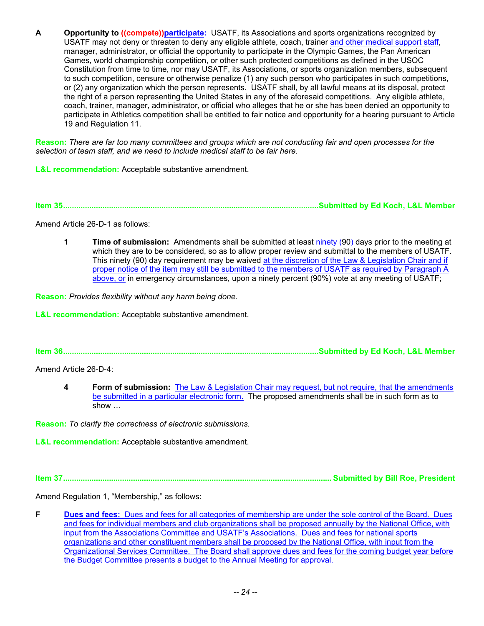**A Opportunity to ((compete))participate:** USATF, its Associations and sports organizations recognized by USATF may not deny or threaten to deny any eligible athlete, coach, trainer and other medical support staff, manager, administrator, or official the opportunity to participate in the Olympic Games, the Pan American Games, world championship competition, or other such protected competitions as defined in the USOC Constitution from time to time, nor may USATF, its Associations, or sports organization members, subsequent to such competition, censure or otherwise penalize (1) any such person who participates in such competitions, or (2) any organization which the person represents. USATF shall, by all lawful means at its disposal, protect the right of a person representing the United States in any of the aforesaid competitions. Any eligible athlete, coach, trainer, manager, administrator, or official who alleges that he or she has been denied an opportunity to participate in Athletics competition shall be entitled to fair notice and opportunity for a hearing pursuant to Article 19 and Regulation 11.

**Reason:** *There are far too many committees and groups which are not conducting fair and open processes for the selection of team staff, and we need to include medical staff to be fair here.*

**L&L recommendation:** Acceptable substantive amendment.

**Item 35.....................................................................................................................Submitted by Ed Koch, L&L Member** 

Amend Article 26-D-1 as follows:

**1 Time of submission:** Amendments shall be submitted at least ninety (90) days prior to the meeting at which they are to be considered, so as to allow proper review and submittal to the members of USATF. This ninety (90) day requirement may be waived at the discretion of the Law & Legislation Chair and if proper notice of the item may still be submitted to the members of USATF as required by Paragraph A above, or in emergency circumstances, upon a ninety percent (90%) vote at any meeting of USATF;

**Reason:** *Provides flexibility without any harm being done.*

**L&L recommendation:** Acceptable substantive amendment.

**Item 36.....................................................................................................................Submitted by Ed Koch, L&L Member** 

Amend Article 26-D-4:

**4 Form of submission:** The Law & Legislation Chair may request, but not require, that the amendments be submitted in a particular electronic form. The proposed amendments shall be in such form as to show …

**Reason:** *To clarify the correctness of electronic submissions.*

**L&L recommendation:** Acceptable substantive amendment.

**Item 37........................................................................................................................... Submitted by Bill Roe, President** 

Amend Regulation 1, "Membership," as follows:

**F** Dues and fees: Dues and fees for all categories of membership are under the sole control of the Board. Dues and fees for individual members and club organizations shall be proposed annually by the National Office, with input from the Associations Committee and USATF's Associations. Dues and fees for national sports organizations and other constituent members shall be proposed by the National Office, with input from the Organizational Services Committee. The Board shall approve dues and fees for the coming budget year before the Budget Committee presents a budget to the Annual Meeting for approval.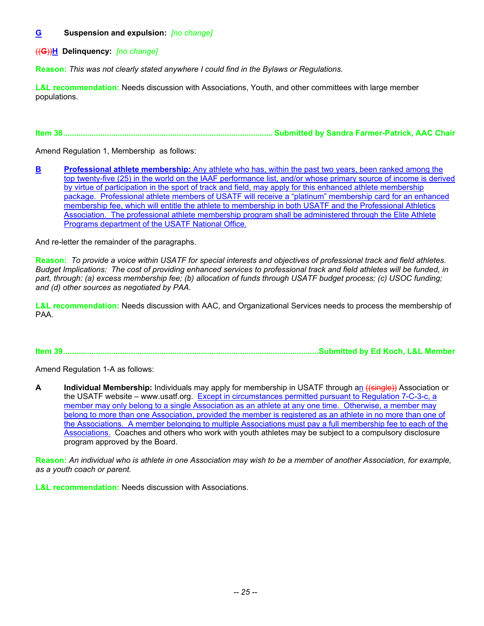## **G Suspension and expulsion:** *[no change]*

((**G**))**H Delinquency:** *[no change]*

**Reason:** *This was not clearly stated anywhere I could find in the Bylaws or Regulations.*

**L&L recommendation:** Needs discussion with Associations, Youth, and other committees with large member populations.

**Item 38................................................................................................ Submitted by Sandra Farmer-Patrick, AAC Chair** 

Amend Regulation 1, Membership as follows:

**B** Professional athlete membership: Any athlete who has, within the past two years, been ranked among the top twenty-five (25) in the world on the IAAF performance list, and/or whose primary source of income is derived by virtue of participation in the sport of track and field, may apply for this enhanced athlete membership package. Professional athlete members of USATF will receive a "platinum" membership card for an enhanced membership fee, which will entitle the athlete to membership in both USATF and the Professional Athletics Association. The professional athlete membership program shall be administered through the Elite Athlete Programs department of the USATF National Office.

And re-letter the remainder of the paragraphs.

**Reason:** *To provide a voice within USATF for special interests and objectives of professional track and field athletes. Budget Implications: The cost of providing enhanced services to professional track and field athletes will be funded, in*  part, through: (a) excess membership fee; (b) allocation of funds through USATF budget process; (c) USOC funding; *and (d) other sources as negotiated by PAA.* 

**L&L recommendation:** Needs discussion with AAC, and Organizational Services needs to process the membership of PAA.

**Item 39.....................................................................................................................Submitted by Ed Koch, L&L Member** 

Amend Regulation 1-A as follows:

**A Individual Membership:** Individuals may apply for membership in USATF through an ((single)) Association or the USATF website – www.usatf.org. Except in circumstances permitted pursuant to Regulation 7-C-3-c, a member may only belong to a single Association as an athlete at any one time. Otherwise, a member may belong to more than one Association, provided the member is registered as an athlete in no more than one of the Associations. A member belonging to multiple Associations must pay a full membership fee to each of the Associations. Coaches and others who work with youth athletes may be subject to a compulsory disclosure program approved by the Board.

**Reason:** *An individual who is athlete in one Association may wish to be a member of another Association, for example, as a youth coach or parent.*

**L&L recommendation:** Needs discussion with Associations.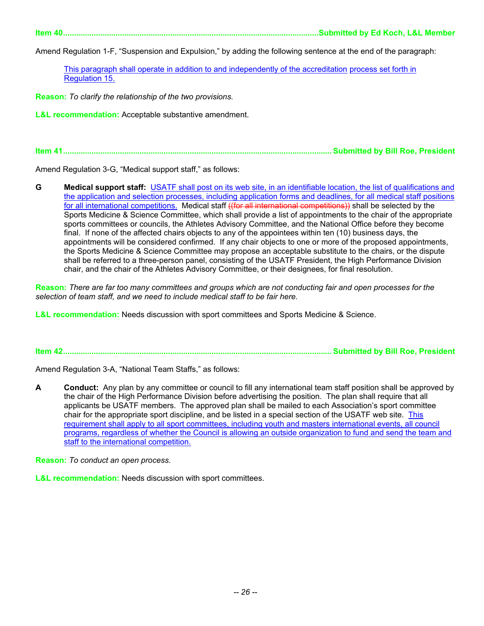**Item 40.....................................................................................................................Submitted by Ed Koch, L&L Member** 

Amend Regulation 1-F, "Suspension and Expulsion," by adding the following sentence at the end of the paragraph:

This paragraph shall operate in addition to and independently of the accreditation process set forth in Regulation 15.

**Reason:** *To clarify the relationship of the two provisions.*

**L&L recommendation:** Acceptable substantive amendment.

**Item 41........................................................................................................................... Submitted by Bill Roe, President** 

Amend Regulation 3-G, "Medical support staff," as follows:

**G Medical support staff:** USATF shall post on its web site, in an identifiable location, the list of qualifications and the application and selection processes, including application forms and deadlines, for all medical staff positions for all international competitions. Medical staff ((for all international competitions)) shall be selected by the Sports Medicine & Science Committee, which shall provide a list of appointments to the chair of the appropriate sports committees or councils, the Athletes Advisory Committee, and the National Office before they become final. If none of the affected chairs objects to any of the appointees within ten (10) business days, the appointments will be considered confirmed. If any chair objects to one or more of the proposed appointments, the Sports Medicine & Science Committee may propose an acceptable substitute to the chairs, or the dispute shall be referred to a three-person panel, consisting of the USATF President, the High Performance Division chair, and the chair of the Athletes Advisory Committee, or their designees, for final resolution.

**Reason:** *There are far too many committees and groups which are not conducting fair and open processes for the selection of team staff, and we need to include medical staff to be fair here.*

**L&L recommendation:** Needs discussion with sport committees and Sports Medicine & Science.

**Item 42........................................................................................................................... Submitted by Bill Roe, President** 

Amend Regulation 3-A, "National Team Staffs," as follows:

**A Conduct:** Any plan by any committee or council to fill any international team staff position shall be approved by the chair of the High Performance Division before advertising the position. The plan shall require that all applicants be USATF members. The approved plan shall be mailed to each Association's sport committee chair for the appropriate sport discipline, and be listed in a special section of the USATF web site. This requirement shall apply to all sport committees, including youth and masters international events, all council programs, regardless of whether the Council is allowing an outside organization to fund and send the team and staff to the international competition.

**Reason:** *To conduct an open process.*

**L&L recommendation:** Needs discussion with sport committees.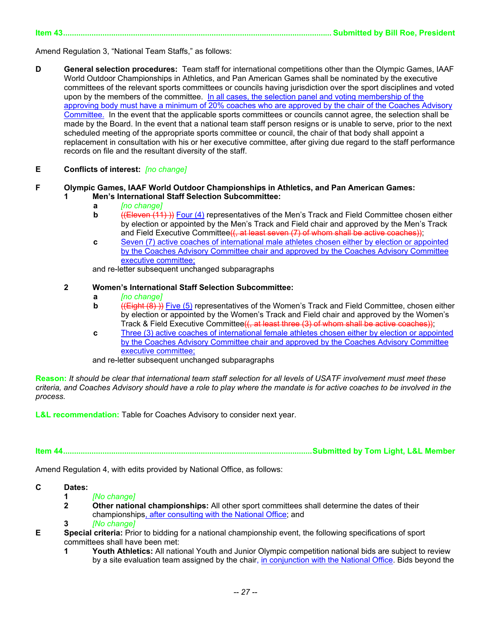**Item 43........................................................................................................................... Submitted by Bill Roe, President** 

Amend Regulation 3, "National Team Staffs," as follows:

- **D General selection procedures:** Team staff for international competitions other than the Olympic Games, IAAF World Outdoor Championships in Athletics, and Pan American Games shall be nominated by the executive committees of the relevant sports committees or councils having jurisdiction over the sport disciplines and voted upon by the members of the committee. In all cases, the selection panel and voting membership of the approving body must have a minimum of 20% coaches who are approved by the chair of the Coaches Advisory Committee. In the event that the applicable sports committees or councils cannot agree, the selection shall be made by the Board. In the event that a national team staff person resigns or is unable to serve, prior to the next scheduled meeting of the appropriate sports committee or council, the chair of that body shall appoint a replacement in consultation with his or her executive committee, after giving due regard to the staff performance records on file and the resultant diversity of the staff.
- **E Conflicts of interest:** *[no change]*

#### **F Olympic Games, IAAF World Outdoor Championships in Athletics, and Pan American Games: 1 Men's International Staff Selection Subcommittee:**

- **a** *[no change]*
- **b** ((Eleven (11) )) Four (4) representatives of the Men's Track and Field Committee chosen either by election or appointed by the Men's Track and Field chair and approved by the Men's Track and Field Executive Committee<del>((, at least seven (7) of whom shall be active coaches))</del>;
- **c** Seven (7) active coaches of international male athletes chosen either by election or appointed by the Coaches Advisory Committee chair and approved by the Coaches Advisory Committee executive committee;

and re-letter subsequent unchanged subparagraphs

#### **2 Women's International Staff Selection Subcommittee:**

- **a** *[no change]*
- **b** ((**Eight (8)**) Five (5) representatives of the Women's Track and Field Committee, chosen either by election or appointed by the Women's Track and Field chair and approved by the Women's Track & Field Executive Committee<del>((, at least three (3) of whom shall be active coaches))</del>;
- **c** Three (3) active coaches of international female athletes chosen either by election or appointed by the Coaches Advisory Committee chair and approved by the Coaches Advisory Committee executive committee;

and re-letter subsequent unchanged subparagraphs

**Reason:** *It should be clear that international team staff selection for all levels of USATF involvement must meet these criteria, and Coaches Advisory should have a role to play where the mandate is for active coaches to be involved in the process.* 

**L&L recommendation:** Table for Coaches Advisory to consider next year.

**Item 44..................................................................................................................Submitted by Tom Light, L&L Member** 

Amend Regulation 4, with edits provided by National Office, as follows:

#### **C Dates:**

- **1** *[No change]*
- **2** Other national championships: All other sport committees shall determine the dates of their championships, after consulting with the National Office; and
- **3** *[No change]*
- **E Special criteria:** Prior to bidding for a national championship event, the following specifications of sport committees shall have been met:
	- **1** Youth Athletics: All national Youth and Junior Olympic competition national bids are subject to review by a site evaluation team assigned by the chair, in conjunction with the National Office. Bids beyond the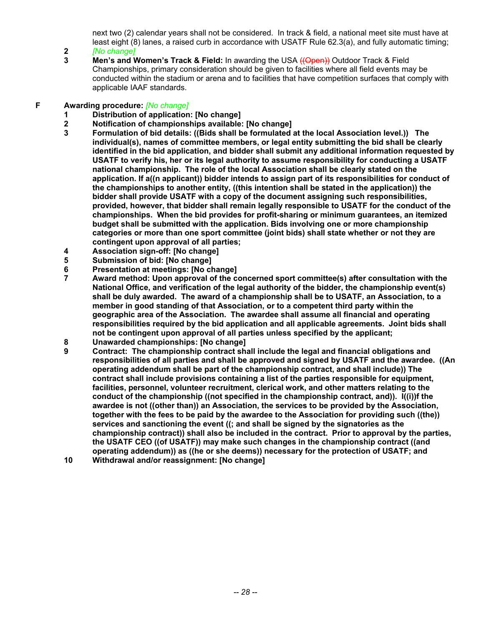next two (2) calendar years shall not be considered. In track & field, a national meet site must have at least eight (8) lanes, a raised curb in accordance with USATF Rule 62.3(a), and fully automatic timing;

- **2** *[No change]*
- **3** Men's and Women's Track & Field: In awarding the USA ((Open)) Outdoor Track & Field
	- Championships, primary consideration should be given to facilities where all field events may be conducted within the stadium or arena and to facilities that have competition surfaces that comply with applicable IAAF standards.

## **F Awarding procedure:** *[No change]*

- **1 Distribution of application: [No change]**
- 
- **2 Notification of championships available: [No change] 3 Formulation of bid details: ((Bids shall be formulated at the local Association level.)) The individual(s), names of committee members, or legal entity submitting the bid shall be clearly identified in the bid application, and bidder shall submit any additional information requested by USATF to verify his, her or its legal authority to assume responsibility for conducting a USATF national championship. The role of the local Association shall be clearly stated on the application. If a((n applicant)) bidder intends to assign part of its responsibilities for conduct of the championships to another entity, ((this intention shall be stated in the application)) the bidder shall provide USATF with a copy of the document assigning such responsibilities, provided, however, that bidder shall remain legally responsible to USATF for the conduct of the championships. When the bid provides for profit-sharing or minimum guarantees, an itemized budget shall be submitted with the application. Bids involving one or more championship categories or more than one sport committee (joint bids) shall state whether or not they are contingent upon approval of all parties;**
- **4 Association sign-off: [No change]**
- **5 Submission of bid: [No change]**
- **6 Presentation at meetings: [No change]**
- Award method: Upon approval of the concerned sport committee(s) after consultation with the **National Office, and verification of the legal authority of the bidder, the championship event(s) shall be duly awarded. The award of a championship shall be to USATF, an Association, to a member in good standing of that Association, or to a competent third party within the geographic area of the Association. The awardee shall assume all financial and operating responsibilities required by the bid application and all applicable agreements. Joint bids shall not be contingent upon approval of all parties unless specified by the applicant;**
- **8 Unawarded championships: [No change]**
- **9 Contract: The championship contract shall include the legal and financial obligations and responsibilities of all parties and shall be approved and signed by USATF and the awardee. ((An operating addendum shall be part of the championship contract, and shall include)) The contract shall include provisions containing a list of the parties responsible for equipment, facilities, personnel, volunteer recruitment, clerical work, and other matters relating to the conduct of the championship ((not specified in the championship contract, and)). I((i))f the awardee is not ((other than)) an Association, the services to be provided by the Association, together with the fees to be paid by the awardee to the Association for providing such ((the)) services and sanctioning the event ((; and shall be signed by the signatories as the championship contract)) shall also be included in the contract. Prior to approval by the parties, the USATF CEO ((of USATF)) may make such changes in the championship contract ((and operating addendum)) as ((he or she deems)) necessary for the protection of USATF; and**
- **10 Withdrawal and/or reassignment: [No change]**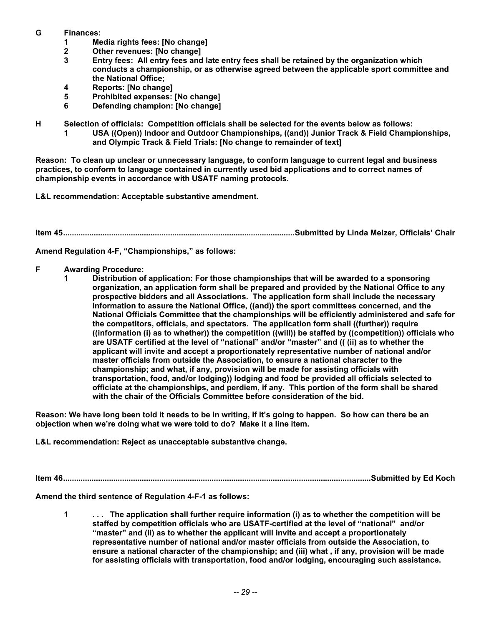- **G Finances:** 
	- **1 Media rights fees: [No change]**
	- **2 Other revenues: [No change]**
	- **3 Entry fees: All entry fees and late entry fees shall be retained by the organization which conducts a championship, or as otherwise agreed between the applicable sport committee and the National Office;**
	- **4 Reports: [No change]**
	- **5 Prohibited expenses: [No change]**
	- **6 Defending champion: [No change]**

**H Selection of officials: Competition officials shall be selected for the events below as follows:** 

 **1 USA ((Open)) Indoor and Outdoor Championships, ((and)) Junior Track & Field Championships, and Olympic Track & Field Trials: [No change to remainder of text]** 

**Reason: To clean up unclear or unnecessary language, to conform language to current legal and business practices, to conform to language contained in currently used bid applications and to correct names of championship events in accordance with USATF naming protocols.** 

**L&L recommendation: Acceptable substantive amendment.** 

**Item 45..........................................................................................................Submitted by Linda Melzer, Officials' Chair** 

**Amend Regulation 4-F, "Championships," as follows:** 

- **F Awarding Procedure:** 
	- **1 Distribution of application: For those championships that will be awarded to a sponsoring organization, an application form shall be prepared and provided by the National Office to any prospective bidders and all Associations. The application form shall include the necessary information to assure the National Office, ((and)) the sport committees concerned, and the National Officials Committee that the championships will be efficiently administered and safe for the competitors, officials, and spectators. The application form shall ((further)) require ((information (i) as to whether)) the competition ((will)) be staffed by ((competition)) officials who are USATF certified at the level of "national" and/or "master" and (( (ii) as to whether the applicant will invite and accept a proportionately representative number of national and/or master officials from outside the Association, to ensure a national character to the championship; and what, if any, provision will be made for assisting officials with transportation, food, and/or lodging)) lodging and food be provided all officials selected to officiate at the championships, and perdiem, if any. This portion of the form shall be shared with the chair of the Officials Committee before consideration of the bid.**

**Reason: We have long been told it needs to be in writing, if it's going to happen. So how can there be an objection when we're doing what we were told to do? Make it a line item.** 

**L&L recommendation: Reject as unacceptable substantive change.** 

**Item 46.............................................................................................................................................Submitted by Ed Koch** 

**Amend the third sentence of Regulation 4-F-1 as follows:** 

 **1 . . . The application shall further require information (i) as to whether the competition will be staffed by competition officials who are USATF-certified at the level of "national" and/or "master" and (ii) as to whether the applicant will invite and accept a proportionately representative number of national and/or master officials from outside the Association, to ensure a national character of the championship; and (iii) what , if any, provision will be made for assisting officials with transportation, food and/or lodging, encouraging such assistance.**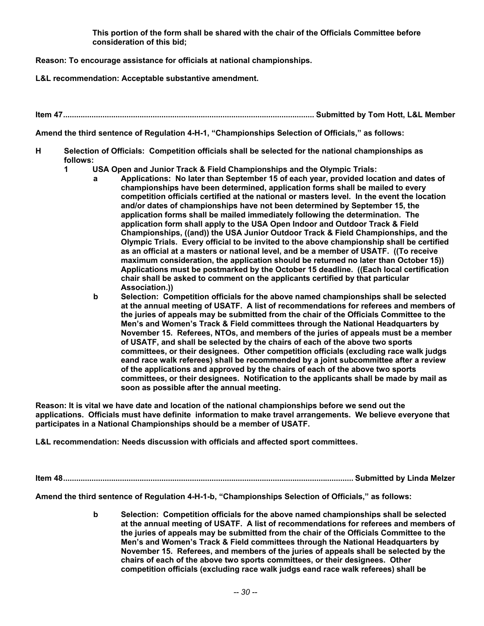**This portion of the form shall be shared with the chair of the Officials Committee before consideration of this bid;** 

**Reason: To encourage assistance for officials at national championships.** 

**L&L recommendation: Acceptable substantive amendment.** 

**Item 47................................................................................................................... Submitted by Tom Hott, L&L Member** 

**Amend the third sentence of Regulation 4-H-1, "Championships Selection of Officials," as follows:** 

- **H Selection of Officials: Competition officials shall be selected for the national championships as follows:** 
	- **1 USA Open and Junior Track & Field Championships and the Olympic Trials:** 
		- **a Applications: No later than September 15 of each year, provided location and dates of championships have been determined, application forms shall be mailed to every competition officials certified at the national or masters level. In the event the location and/or dates of championships have not been determined by September 15, the application forms shall be mailed immediately following the determination. The application form shall apply to the USA Open Indoor and Outdoor Track & Field Championships, ((and)) the USA Junior Outdoor Track & Field Championships, and the Olympic Trials. Every official to be invited to the above championship shall be certified as an official at a masters or national level, and be a member of USATF. ((To receive maximum consideration, the application should be returned no later than October 15)) Applications must be postmarked by the October 15 deadline. ((Each local certification chair shall be asked to comment on the applicants certified by that particular Association.))**
		- **b Selection: Competition officials for the above named championships shall be selected at the annual meeting of USATF. A list of recommendations for referees and members of the juries of appeals may be submitted from the chair of the Officials Committee to the Men's and Women's Track & Field committees through the National Headquarters by November 15. Referees, NTOs, and members of the juries of appeals must be a member of USATF, and shall be selected by the chairs of each of the above two sports committees, or their designees. Other competition officials (excluding race walk judgs eand race walk referees) shall be recommended by a joint subcommittee after a review of the applications and approved by the chairs of each of the above two sports committees, or their designees. Notification to the applicants shall be made by mail as soon as possible after the annual meeting.**

**Reason: It is vital we have date and location of the national championships before we send out the applications. Officials must have definite information to make travel arrangements. We believe everyone that participates in a National Championships should be a member of USATF.** 

**L&L recommendation: Needs discussion with officials and affected sport committees.** 

**Item 48..................................................................................................................................... Submitted by Linda Melzer** 

**Amend the third sentence of Regulation 4-H-1-b, "Championships Selection of Officials," as follows:** 

 **b Selection: Competition officials for the above named championships shall be selected at the annual meeting of USATF. A list of recommendations for referees and members of the juries of appeals may be submitted from the chair of the Officials Committee to the Men's and Women's Track & Field committees through the National Headquarters by November 15. Referees, and members of the juries of appeals shall be selected by the chairs of each of the above two sports committees, or their designees. Other competition officials (excluding race walk judgs eand race walk referees) shall be**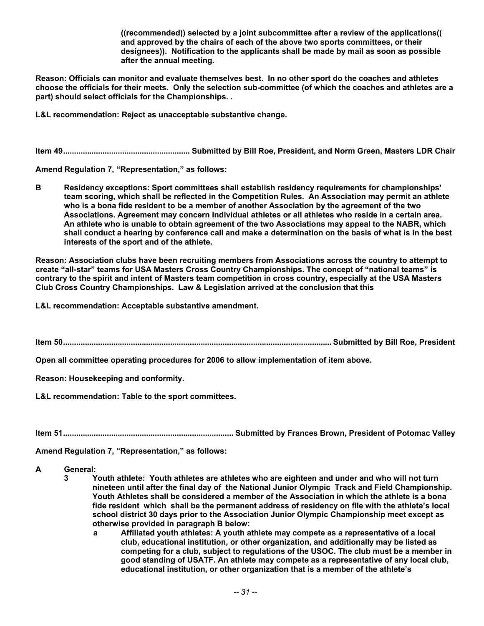**((recommended)) selected by a joint subcommittee after a review of the applications(( and approved by the chairs of each of the above two sports committees, or their designees)). Notification to the applicants shall be made by mail as soon as possible after the annual meeting.** 

**Reason: Officials can monitor and evaluate themselves best. In no other sport do the coaches and athletes choose the officials for their meets. Only the selection sub-committee (of which the coaches and athletes are a part) should select officials for the Championships. .** 

**L&L recommendation: Reject as unacceptable substantive change.** 

**Item 49.......................................................... Submitted by Bill Roe, President, and Norm Green, Masters LDR Chair** 

**Amend Regulation 7, "Representation," as follows:** 

**B Residency exceptions: Sport committees shall establish residency requirements for championships' team scoring, which shall be reflected in the Competition Rules. An Association may permit an athlete who is a bona fide resident to be a member of another Association by the agreement of the two Associations. Agreement may concern individual athletes or all athletes who reside in a certain area. An athlete who is unable to obtain agreement of the two Associations may appeal to the NABR, which shall conduct a hearing by conference call and make a determination on the basis of what is in the best interests of the sport and of the athlete.** 

**Reason: Association clubs have been recruiting members from Associations across the country to attempt to create "all-star" teams for USA Masters Cross Country Championships. The concept of "national teams" is contrary to the spirit and intent of Masters team competition in cross country, especially at the USA Masters Club Cross Country Championships. Law & Legislation arrived at the conclusion that this** 

**L&L recommendation: Acceptable substantive amendment.** 

**Item 50........................................................................................................................... Submitted by Bill Roe, President** 

**Open all committee operating procedures for 2006 to allow implementation of item above.** 

**Reason: Housekeeping and conformity.** 

**L&L recommendation: Table to the sport committees.** 

**Item 51.............................................................................. Submitted by Frances Brown, President of Potomac Valley** 

**Amend Regulation 7, "Representation," as follows:** 

**A General:** 

- **3 Youth athlete: Youth athletes are athletes who are eighteen and under and who will not turn nineteen until after the final day of the National Junior Olympic Track and Field Championship. Youth Athletes shall be considered a member of the Association in which the athlete is a bona fide resident which shall be the permanent address of residency on file with the athlete's local school district 30 days prior to the Association Junior Olympic Championship meet except as otherwise provided in paragraph B below:** 
	- **a Affiliated youth athletes: A youth athlete may compete as a representative of a local club, educational institution, or other organization, and additionally may be listed as competing for a club, subject to regulations of the USOC. The club must be a member in good standing of USATF. An athlete may compete as a representative of any local club, educational institution, or other organization that is a member of the athlete's**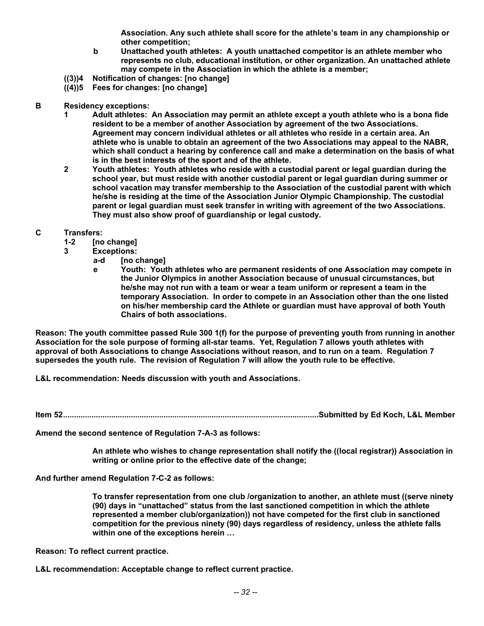**Association. Any such athlete shall score for the athlete's team in any championship or other competition;** 

- **b Unattached youth athletes: A youth unattached competitor is an athlete member who represents no club, educational institution, or other organization. An unattached athlete may compete in the Association in which the athlete is a member;**
- **((3))4 Notification of changes: [no change]**
- **((4))5 Fees for changes: [no change]**
- **B Residency exceptions:** 
	- **1 Adult athletes: An Association may permit an athlete except a youth athlete who is a bona fide resident to be a member of another Association by agreement of the two Associations. Agreement may concern individual athletes or all athletes who reside in a certain area. An athlete who is unable to obtain an agreement of the two Associations may appeal to the NABR, which shall conduct a hearing by conference call and make a determination on the basis of what is in the best interests of the sport and of the athlete.**
	- **2 Youth athletes: Youth athletes who reside with a custodial parent or legal guardian during the school year, but must reside with another custodial parent or legal guardian during summer or school vacation may transfer membership to the Association of the custodial parent with which he/she is residing at the time of the Association Junior Olympic Championship. The custodial parent or legal guardian must seek transfer in writing with agreement of the two Associations. They must also show proof of guardianship or legal custody.**
- **C Transfers:** 
	- **1-2 [no change]**
	- **3 Exceptions:** 
		- **a-d [no change]**
		- **e Youth: Youth athletes who are permanent residents of one Association may compete in the Junior Olympics in another Association because of unusual circumstances, but he/she may not run with a team or wear a team uniform or represent a team in the temporary Association. In order to compete in an Association other than the one listed on his/her membership card the Athlete or guardian must have approval of both Youth Chairs of both associations.**

**Reason: The youth committee passed Rule 300 1(f) for the purpose of preventing youth from running in another Association for the sole purpose of forming all-star teams. Yet, Regulation 7 allows youth athletes with approval of both Associations to change Associations without reason, and to run on a team. Regulation 7 supersedes the youth rule. The revision of Regulation 7 will allow the youth rule to be effective.** 

**L&L recommendation: Needs discussion with youth and Associations.** 

**Item 52.....................................................................................................................Submitted by Ed Koch, L&L Member** 

**Amend the second sentence of Regulation 7-A-3 as follows:** 

 **An athlete who wishes to change representation shall notify the ((local registrar)) Association in writing or online prior to the effective date of the change;** 

**And further amend Regulation 7-C-2 as follows:** 

 **To transfer representation from one club /organization to another, an athlete must ((serve ninety (90) days in "unattached" status from the last sanctioned competition in which the athlete represented a member club/organization)) not have competed for the first club in sanctioned competition for the previous ninety (90) days regardless of residency, unless the athlete falls within one of the exceptions herein …** 

**Reason: To reflect current practice.** 

**L&L recommendation: Acceptable change to reflect current practice.**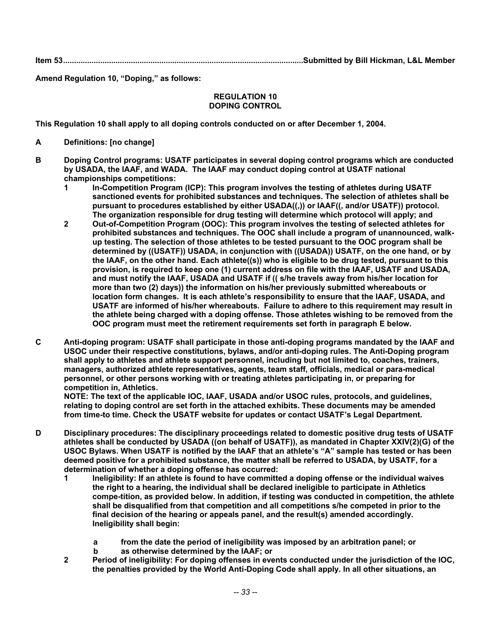**Item 53..............................................................................................................Submitted by Bill Hickman, L&L Member** 

**Amend Regulation 10, "Doping," as follows:** 

#### **REGULATION 10 DOPING CONTROL**

**This Regulation 10 shall apply to all doping controls conducted on or after December 1, 2004.** 

- **A Definitions: [no change]**
- **B Doping Control programs: USATF participates in several doping control programs which are conducted by USADA, the IAAF, and WADA. The IAAF may conduct doping control at USATF national championships competitions:** 
	- **1 In-Competition Program (ICP): This program involves the testing of athletes during USATF sanctioned events for prohibited substances and techniques. The selection of athletes shall be pursuant to procedures established by either USADA((,)) or IAAF((, and/or USATF)) protocol. The organization responsible for drug testing will determine which protocol will apply; and**
	- **2 Out-of-Competition Program (OOC): This program involves the testing of selected athletes for prohibited substances and techniques. The OOC shall include a program of unannounced, walkup testing. The selection of those athletes to be tested pursuant to the OOC program shall be determined by ((USATF)) USADA, in conjunction with ((USADA)) USATF, on the one hand, or by the IAAF, on the other hand. Each athlete((s)) who is eligible to be drug tested, pursuant to this provision, is required to keep one (1) current address on file with the IAAF, USATF and USADA, and must notify the IAAF, USADA and USATF if (( s/he travels away from his/her location for more than two (2) days)) the information on his/her previously submitted whereabouts or location form changes. It is each athlete's responsibility to ensure that the IAAF, USADA, and USATF are informed of his/her whereabouts. Failure to adhere to this requirement may result in the athlete being charged with a doping offense. Those athletes wishing to be removed from the OOC program must meet the retirement requirements set forth in paragraph E below.**
- **C Anti-doping program: USATF shall participate in those anti-doping programs mandated by the IAAF and USOC under their respective constitutions, bylaws, and/or anti-doping rules. The Anti-Doping program shall apply to athletes and athlete support personnel, including but not limited to, coaches, trainers, managers, authorized athlete representatives, agents, team staff, officials, medical or para-medical personnel, or other persons working with or treating athletes participating in, or preparing for competition in, Athletics.**

 **NOTE: The text of the applicable IOC, IAAF, USADA and/or USOC rules, protocols, and guidelines, relating to doping control are set forth in the attached exhibits. These documents may be amended from time-to time. Check the USATF website for updates or contact USATF's Legal Department.** 

- **D Disciplinary procedures: The disciplinary proceedings related to domestic positive drug tests of USATF athletes shall be conducted by USADA ((on behalf of USATF)), as mandated in Chapter XXIV(2)(G) of the USOC Bylaws. When USATF is notified by the IAAF that an athlete's "A" sample has tested or has been deemed positive for a prohibited substance, the matter shall be referred to USADA, by USATF, for a determination of whether a doping offense has occurred:** 
	- **1 Ineligibility: If an athlete is found to have committed a doping offense or the individual waives the right to a hearing, the individual shall be declared ineligible to participate in Athletics compe-tition, as provided below. In addition, if testing was conducted in competition, the athlete shall be disqualified from that competition and all competitions s/he competed in prior to the final decision of the hearing or appeals panel, and the result(s) amended accordingly. Ineligibility shall begin:** 
		- **a from the date the period of ineligibility was imposed by an arbitration panel; or**
		- **b as otherwise determined by the IAAF; or**
	- **2 Period of ineligibility: For doping offenses in events conducted under the jurisdiction of the IOC, the penalties provided by the World Anti-Doping Code shall apply. In all other situations, an**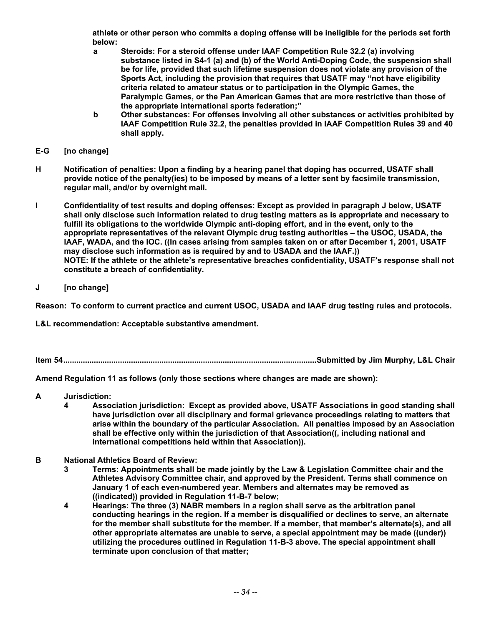**athlete or other person who commits a doping offense will be ineligible for the periods set forth below:** 

- **a Steroids: For a steroid offense under IAAF Competition Rule 32.2 (a) involving substance listed in S4-1 (a) and (b) of the World Anti-Doping Code, the suspension shall be for life, provided that such lifetime suspension does not violate any provision of the Sports Act, including the provision that requires that USATF may "not have eligibility criteria related to amateur status or to participation in the Olympic Games, the Paralympic Games, or the Pan American Games that are more restrictive than those of the appropriate international sports federation;"**
- **b Other substances: For offenses involving all other substances or activities prohibited by IAAF Competition Rule 32.2, the penalties provided in IAAF Competition Rules 39 and 40 shall apply.**
- **E-G [no change]**
- **H Notification of penalties: Upon a finding by a hearing panel that doping has occurred, USATF shall provide notice of the penalty(ies) to be imposed by means of a letter sent by facsimile transmission, regular mail, and/or by overnight mail.**
- **I Confidentiality of test results and doping offenses: Except as provided in paragraph J below, USATF shall only disclose such information related to drug testing matters as is appropriate and necessary to fulfill its obligations to the worldwide Olympic anti-doping effort, and in the event, only to the appropriate representatives of the relevant Olympic drug testing authorities – the USOC, USADA, the IAAF, WADA, and the IOC. ((In cases arising from samples taken on or after December 1, 2001, USATF may disclose such information as is required by and to USADA and the IAAF.)) NOTE: If the athlete or the athlete's representative breaches confidentiality, USATF's response shall not constitute a breach of confidentiality.**
- **J [no change]**

**Reason: To conform to current practice and current USOC, USADA and IAAF drug testing rules and protocols.** 

**L&L recommendation: Acceptable substantive amendment.** 

**Item 54....................................................................................................................Submitted by Jim Murphy, L&L Chair** 

**Amend Regulation 11 as follows (only those sections where changes are made are shown):** 

- **A Jurisdiction:** 
	- **4 Association jurisdiction: Except as provided above, USATF Associations in good standing shall have jurisdiction over all disciplinary and formal grievance proceedings relating to matters that arise within the boundary of the particular Association. All penalties imposed by an Association shall be effective only within the jurisdiction of that Association((, including national and international competitions held within that Association)).**
- **B National Athletics Board of Review:** 
	- **3 Terms: Appointments shall be made jointly by the Law & Legislation Committee chair and the Athletes Advisory Committee chair, and approved by the President. Terms shall commence on January 1 of each even-numbered year. Members and alternates may be removed as ((indicated)) provided in Regulation 11-B-7 below;**
	- **4 Hearings: The three (3) NABR members in a region shall serve as the arbitration panel conducting hearings in the region. If a member is disqualified or declines to serve, an alternate for the member shall substitute for the member. If a member, that member's alternate(s), and all other appropriate alternates are unable to serve, a special appointment may be made ((under)) utilizing the procedures outlined in Regulation 11-B-3 above. The special appointment shall terminate upon conclusion of that matter;**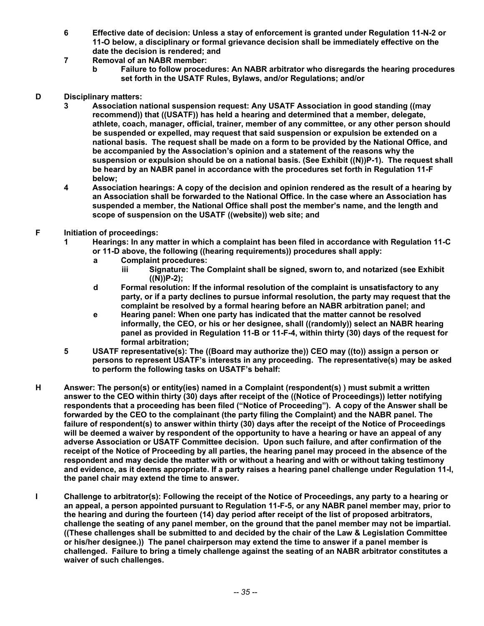- **6 Effective date of decision: Unless a stay of enforcement is granted under Regulation 11-N-2 or 11-O below, a disciplinary or formal grievance decision shall be immediately effective on the date the decision is rendered; and**
- **7 Removal of an NABR member:** 
	- **b Failure to follow procedures: An NABR arbitrator who disregards the hearing procedures set forth in the USATF Rules, Bylaws, and/or Regulations; and/or**
- **D Disciplinary matters:** 
	- **3 Association national suspension request: Any USATF Association in good standing ((may recommend)) that ((USATF)) has held a hearing and determined that a member, delegate, athlete, coach, manager, official, trainer, member of any committee, or any other person should be suspended or expelled, may request that said suspension or expulsion be extended on a national basis. The request shall be made on a form to be provided by the National Office, and be accompanied by the Association's opinion and a statement of the reasons why the suspension or expulsion should be on a national basis. (See Exhibit ((N))P-1). The request shall be heard by an NABR panel in accordance with the procedures set forth in Regulation 11-F below;**
	- **4 Association hearings: A copy of the decision and opinion rendered as the result of a hearing by an Association shall be forwarded to the National Office. In the case where an Association has suspended a member, the National Office shall post the member's name, and the length and scope of suspension on the USATF ((website)) web site; and**
- **F Initiation of proceedings:** 
	- **1 Hearings: In any matter in which a complaint has been filed in accordance with Regulation 11-C or 11-D above, the following ((hearing requirements)) procedures shall apply:** 
		- **a Complaint procedures:** 
			- **iii Signature: The Complaint shall be signed, sworn to, and notarized (see Exhibit ((N))P-2);**
		- **d Formal resolution: If the informal resolution of the complaint is unsatisfactory to any party, or if a party declines to pursue informal resolution, the party may request that the complaint be resolved by a formal hearing before an NABR arbitration panel; and**
		- **e Hearing panel: When one party has indicated that the matter cannot be resolved informally, the CEO, or his or her designee, shall ((randomly)) select an NABR hearing panel as provided in Regulation 11-B or 11-F-4, within thirty (30) days of the request for formal arbitration;**
	- **5 USATF representative(s): The ((Board may authorize the)) CEO may ((to)) assign a person or persons to represent USATF's interests in any proceeding. The representative(s) may be asked to perform the following tasks on USATF's behalf:**
- **H Answer: The person(s) or entity(ies) named in a Complaint (respondent(s) ) must submit a written answer to the CEO within thirty (30) days after receipt of the ((Notice of Proceedings)) letter notifying respondents that a proceeding has been filed ("Notice of Proceeding"). A copy of the Answer shall be forwarded by the CEO to the complainant (the party filing the Complaint) and the NABR panel. The failure of respondent(s) to answer within thirty (30) days after the receipt of the Notice of Proceedings will be deemed a waiver by respondent of the opportunity to have a hearing or have an appeal of any adverse Association or USATF Committee decision. Upon such failure, and after confirmation of the receipt of the Notice of Proceeding by all parties, the hearing panel may proceed in the absence of the respondent and may decide the matter with or without a hearing and with or without taking testimony and evidence, as it deems appropriate. If a party raises a hearing panel challenge under Regulation 11-I, the panel chair may extend the time to answer.**
- **I Challenge to arbitrator(s): Following the receipt of the Notice of Proceedings, any party to a hearing or an appeal, a person appointed pursuant to Regulation 11-F-5, or any NABR panel member may, prior to the hearing and during the fourteen (14) day period after receipt of the list of proposed arbitrators, challenge the seating of any panel member, on the ground that the panel member may not be impartial. ((These challenges shall be submitted to and decided by the chair of the Law & Legislation Committee or his/her designee.)) The panel chairperson may extend the time to answer if a panel member is challenged. Failure to bring a timely challenge against the seating of an NABR arbitrator constitutes a waiver of such challenges.**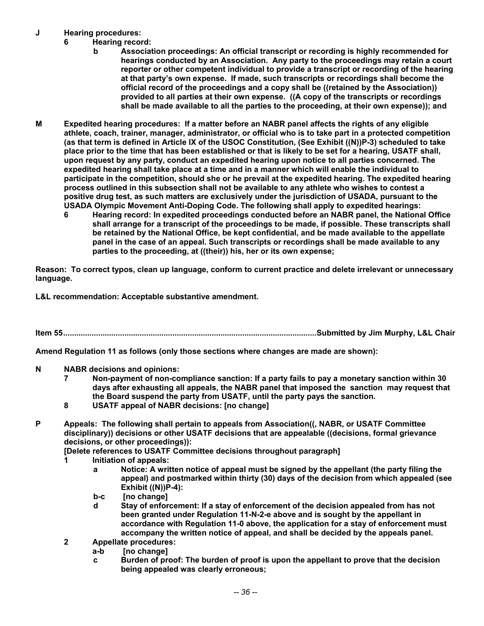## **J Hearing procedures:**

- **Hearing record:** 
	- **b Association proceedings: An official transcript or recording is highly recommended for hearings conducted by an Association. Any party to the proceedings may retain a court reporter or other competent individual to provide a transcript or recording of the hearing at that party's own expense. If made, such transcripts or recordings shall become the official record of the proceedings and a copy shall be ((retained by the Association)) provided to all parties at their own expense. ((A copy of the transcripts or recordings shall be made available to all the parties to the proceeding, at their own expense)); and**
- **M Expedited hearing procedures: If a matter before an NABR panel affects the rights of any eligible athlete, coach, trainer, manager, administrator, or official who is to take part in a protected competition (as that term is defined in Article IX of the USOC Constitution, (See Exhibit ((N))P-3) scheduled to take place prior to the time that has been established or that is likely to be set for a hearing, USATF shall, upon request by any party, conduct an expedited hearing upon notice to all parties concerned. The expedited hearing shall take place at a time and in a manner which will enable the individual to participate in the competition, should she or he prevail at the expedited hearing. The expedited hearing process outlined in this subsection shall not be available to any athlete who wishes to contest a positive drug test, as such matters are exclusively under the jurisdiction of USADA, pursuant to the USADA Olympic Movement Anti-Doping Code. The following shall apply to expedited hearings:** 
	- **6 Hearing record: In expedited proceedings conducted before an NABR panel, the National Office shall arrange for a transcript of the proceedings to be made, if possible. These transcripts shall be retained by the National Office, be kept confidential, and be made available to the appellate panel in the case of an appeal. Such transcripts or recordings shall be made available to any parties to the proceeding, at ((their)) his, her or its own expense;**

**Reason: To correct typos, clean up language, conform to current practice and delete irrelevant or unnecessary language.** 

**L&L recommendation: Acceptable substantive amendment.** 

**Item 55....................................................................................................................Submitted by Jim Murphy, L&L Chair** 

**Amend Regulation 11 as follows (only those sections where changes are made are shown):** 

- **N NABR decisions and opinions:** 
	- **7 Non-payment of non-compliance sanction: If a party fails to pay a monetary sanction within 30 days after exhausting all appeals, the NABR panel that imposed the sanction may request that the Board suspend the party from USATF, until the party pays the sanction.**
	- **8 USATF appeal of NABR decisions: [no change]**
- **P Appeals: The following shall pertain to appeals from Association((, NABR, or USATF Committee disciplinary)) decisions or other USATF decisions that are appealable ((decisions, formal grievance decisions, or other proceedings)):**

 **[Delete references to USATF Committee decisions throughout paragraph]** 

- **1 Initiation of appeals:** 
	- **a Notice: A written notice of appeal must be signed by the appellant (the party filing the appeal) and postmarked within thirty (30) days of the decision from which appealed (see Exhibit ((N))P-4):**
	- **b-c [no change]**
	- **d Stay of enforcement: If a stay of enforcement of the decision appealed from has not been granted under Regulation 11-N-2-e above and is sought by the appellant in accordance with Regulation 11-0 above, the application for a stay of enforcement must accompany the written notice of appeal, and shall be decided by the appeals panel.**
- **2 Appellate procedures:** 
	- **a-b [no change]**
	- **c Burden of proof: The burden of proof is upon the appellant to prove that the decision being appealed was clearly erroneous;**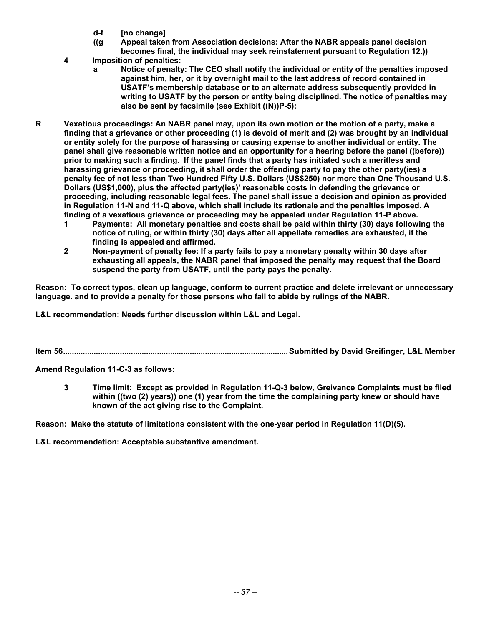- **d-f [no change]**
- **((g Appeal taken from Association decisions: After the NABR appeals panel decision becomes final, the individual may seek reinstatement pursuant to Regulation 12.))**
- **4 Imposition of penalties:** 
	- **a Notice of penalty: The CEO shall notify the individual or entity of the penalties imposed against him, her, or it by overnight mail to the last address of record contained in USATF's membership database or to an alternate address subsequently provided in writing to USATF by the person or entity being disciplined. The notice of penalties may also be sent by facsimile (see Exhibit ((N))P-5);**
- **R Vexatious proceedings: An NABR panel may, upon its own motion or the motion of a party, make a finding that a grievance or other proceeding (1) is devoid of merit and (2) was brought by an individual or entity solely for the purpose of harassing or causing expense to another individual or entity. The panel shall give reasonable written notice and an opportunity for a hearing before the panel ((before)) prior to making such a finding. If the panel finds that a party has initiated such a meritless and harassing grievance or proceeding, it shall order the offending party to pay the other party(ies) a penalty fee of not less than Two Hundred Fifty U.S. Dollars (US\$250) nor more than One Thousand U.S. Dollars (US\$1,000), plus the affected party(ies)' reasonable costs in defending the grievance or proceeding, including reasonable legal fees. The panel shall issue a decision and opinion as provided in Regulation 11-N and 11-Q above, which shall include its rationale and the penalties imposed. A finding of a vexatious grievance or proceeding may be appealed under Regulation 11-P above.** 
	- **1 Payments: All monetary penalties and costs shall be paid within thirty (30) days following the notice of ruling, or within thirty (30) days after all appellate remedies are exhausted, if the finding is appealed and affirmed.**
	- **2 Non-payment of penalty fee: If a party fails to pay a monetary penalty within 30 days after exhausting all appeals, the NABR panel that imposed the penalty may request that the Board suspend the party from USATF, until the party pays the penalty.**

**Reason: To correct typos, clean up language, conform to current practice and delete irrelevant or unnecessary language. and to provide a penalty for those persons who fail to abide by rulings of the NABR.** 

**L&L recommendation: Needs further discussion within L&L and Legal.** 

**Item 56.......................................................................................................Submitted by David Greifinger, L&L Member** 

**Amend Regulation 11-C-3 as follows:** 

 **3 Time limit: Except as provided in Regulation 11-Q-3 below, Greivance Complaints must be filed within ((two (2) years)) one (1) year from the time the complaining party knew or should have known of the act giving rise to the Complaint.** 

**Reason: Make the statute of limitations consistent with the one-year period in Regulation 11(D)(5).** 

**L&L recommendation: Acceptable substantive amendment.**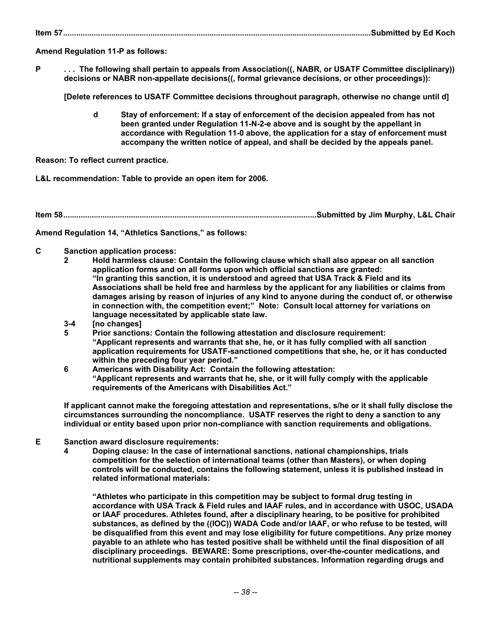**Item 57.............................................................................................................................................Submitted by Ed Koch** 

**Amend Regulation 11-P as follows:** 

**P . . . The following shall pertain to appeals from Association((, NABR, or USATF Committee disciplinary)) decisions or NABR non-appellate decisions((, formal grievance decisions, or other proceedings)):** 

 **[Delete references to USATF Committee decisions throughout paragraph, otherwise no change until d]** 

 **d Stay of enforcement: If a stay of enforcement of the decision appealed from has not been granted under Regulation 11-N-2-e above and is sought by the appellant in accordance with Regulation 11-0 above, the application for a stay of enforcement must accompany the written notice of appeal, and shall be decided by the appeals panel.** 

**Reason: To reflect current practice.** 

**L&L recommendation: Table to provide an open item for 2006.** 

**Item 58....................................................................................................................Submitted by Jim Murphy, L&L Chair** 

**Amend Regulation 14, "Athletics Sanctions," as follows:** 

- **C Sanction application process:** 
	- **2 Hold harmless clause: Contain the following clause which shall also appear on all sanction application forms and on all forms upon which official sanctions are granted: "In granting this sanction, it is understood and agreed that USA Track & Field and its Associations shall be held free and harmless by the applicant for any liabilities or claims from damages arising by reason of injuries of any kind to anyone during the conduct of, or otherwise in connection with, the competition event;" Note: Consult local attorney for variations on language necessitated by applicable state law.**
	- **3-4 [no changes]**
	- **5 Prior sanctions: Contain the following attestation and disclosure requirement: "Applicant represents and warrants that she, he, or it has fully complied with all sanction application requirements for USATF-sanctioned competitions that she, he, or it has conducted within the preceding four year period."**
	- **6 Americans with Disability Act: Contain the following attestation: "Applicant represents and warrants that he, she, or it will fully comply with the applicable requirements of the Americans with Disabilities Act."**

 **If applicant cannot make the foregoing attestation and representations, s/he or it shall fully disclose the circumstances surrounding the noncompliance. USATF reserves the right to deny a sanction to any individual or entity based upon prior non-compliance with sanction requirements and obligations.** 

- **E Sanction award disclosure requirements:** 
	- **4 Doping clause: In the case of international sanctions, national championships, trials competition for the selection of international teams (other than Masters), or when doping controls will be conducted, contains the following statement, unless it is published instead in related informational materials:**

 **"Athletes who participate in this competition may be subject to formal drug testing in accordance with USA Track & Field rules and IAAF rules, and in accordance with USOC, USADA or IAAF procedures. Athletes found, after a disciplinary hearing, to be positive for prohibited substances, as defined by the ((IOC)) WADA Code and/or IAAF, or who refuse to be tested, will be disqualified from this event and may lose eligibility for future competitions. Any prize money payable to an athlete who has tested positive shall be withheld until the final disposition of all disciplinary proceedings. BEWARE: Some prescriptions, over-the-counter medications, and nutritional supplements may contain prohibited substances. Information regarding drugs and**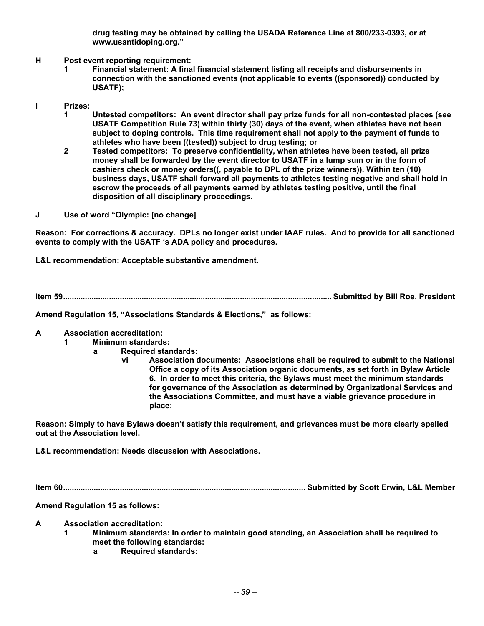**drug testing may be obtained by calling the USADA Reference Line at 800/233-0393, or at www.usantidoping.org."** 

- **H Post event reporting requirement:** 
	- **1 Financial statement: A final financial statement listing all receipts and disbursements in connection with the sanctioned events (not applicable to events ((sponsored)) conducted by USATF);**
- **I Prizes:** 
	- **1 Untested competitors: An event director shall pay prize funds for all non-contested places (see USATF Competition Rule 73) within thirty (30) days of the event, when athletes have not been subject to doping controls. This time requirement shall not apply to the payment of funds to athletes who have been ((tested)) subject to drug testing; or**
	- **2 Tested competitors: To preserve confidentiality, when athletes have been tested, all prize money shall be forwarded by the event director to USATF in a lump sum or in the form of cashiers check or money orders((, payable to DPL of the prize winners)). Within ten (10) business days, USATF shall forward all payments to athletes testing negative and shall hold in escrow the proceeds of all payments earned by athletes testing positive, until the final disposition of all disciplinary proceedings.**
- **J Use of word "Olympic: [no change]**

**Reason: For corrections & accuracy. DPLs no longer exist under IAAF rules. And to provide for all sanctioned events to comply with the USATF 's ADA policy and procedures.** 

**L&L recommendation: Acceptable substantive amendment.** 

**Item 59........................................................................................................................... Submitted by Bill Roe, President** 

**Amend Regulation 15, "Associations Standards & Elections," as follows:** 

- **A Association accreditation:** 
	- **1 Minimum standards:** 
		- **a Required standards:** 
			- **vi Association documents: Associations shall be required to submit to the National Office a copy of its Association organic documents, as set forth in Bylaw Article 6. In order to meet this criteria, the Bylaws must meet the minimum standards for governance of the Association as determined by Organizational Services and the Associations Committee, and must have a viable grievance procedure in place;**

**Reason: Simply to have Bylaws doesn't satisfy this requirement, and grievances must be more clearly spelled out at the Association level.** 

**L&L recommendation: Needs discussion with Associations.** 

**Item 60............................................................................................................... Submitted by Scott Erwin, L&L Member** 

**Amend Regulation 15 as follows:** 

- **A Association accreditation:** 
	- **1 Minimum standards: In order to maintain good standing, an Association shall be required to meet the following standards:** 
		- **a Required standards:**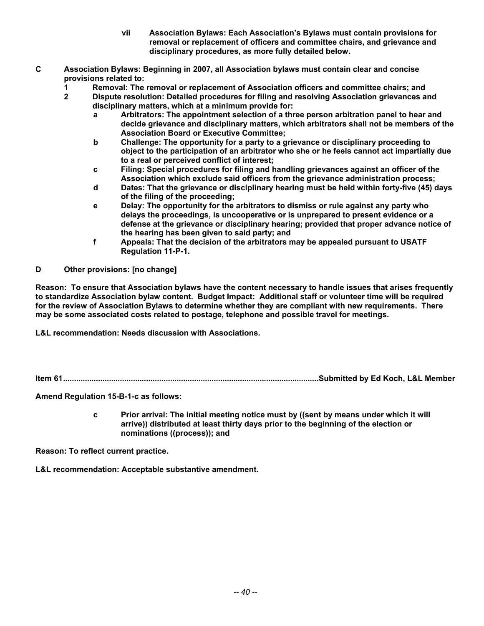- **vii Association Bylaws: Each Association's Bylaws must contain provisions for removal or replacement of officers and committee chairs, and grievance and disciplinary procedures, as more fully detailed below.**
- **C Association Bylaws: Beginning in 2007, all Association bylaws must contain clear and concise provisions related to:** 
	- **1 Removal: The removal or replacement of Association officers and committee chairs; and**
	- **2 Dispute resolution: Detailed procedures for filing and resolving Association grievances and disciplinary matters, which at a minimum provide for:** 
		- **a Arbitrators: The appointment selection of a three person arbitration panel to hear and decide grievance and disciplinary matters, which arbitrators shall not be members of the Association Board or Executive Committee;**
		- **b Challenge: The opportunity for a party to a grievance or disciplinary proceeding to object to the participation of an arbitrator who she or he feels cannot act impartially due to a real or perceived conflict of interest;**
		- **c Filing: Special procedures for filing and handling grievances against an officer of the Association which exclude said officers from the grievance administration process;**
		- **d Dates: That the grievance or disciplinary hearing must be held within forty-five (45) days of the filing of the proceeding;**
		- **e Delay: The opportunity for the arbitrators to dismiss or rule against any party who delays the proceedings, is uncooperative or is unprepared to present evidence or a defense at the grievance or disciplinary hearing; provided that proper advance notice of the hearing has been given to said party; and**
		- **f Appeals: That the decision of the arbitrators may be appealed pursuant to USATF Regulation 11-P-1.**
- **D Other provisions: [no change]**

**Reason: To ensure that Association bylaws have the content necessary to handle issues that arises frequently to standardize Association bylaw content. Budget Impact: Additional staff or volunteer time will be required for the review of Association Bylaws to determine whether they are compliant with new requirements. There may be some associated costs related to postage, telephone and possible travel for meetings.** 

**L&L recommendation: Needs discussion with Associations.** 

**Item 61.....................................................................................................................Submitted by Ed Koch, L&L Member** 

**Amend Regulation 15-B-1-c as follows:** 

 **c Prior arrival: The initial meeting notice must by ((sent by means under which it will arrive)) distributed at least thirty days prior to the beginning of the election or nominations ((process)); and** 

**Reason: To reflect current practice.** 

**L&L recommendation: Acceptable substantive amendment.**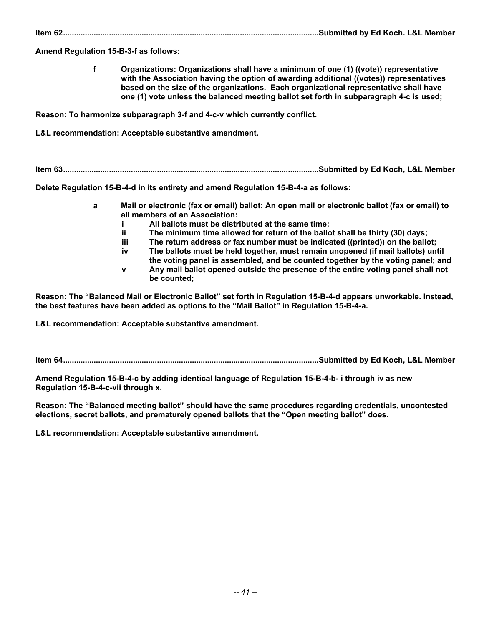**Item 62.....................................................................................................................Submitted by Ed Koch. L&L Member** 

**Amend Regulation 15-B-3-f as follows:** 

 **f Organizations: Organizations shall have a minimum of one (1) ((vote)) representative with the Association having the option of awarding additional ((votes)) representatives based on the size of the organizations. Each organizational representative shall have one (1) vote unless the balanced meeting ballot set forth in subparagraph 4-c is used;** 

**Reason: To harmonize subparagraph 3-f and 4-c-v which currently conflict.** 

**L&L recommendation: Acceptable substantive amendment.** 

**Item 63.....................................................................................................................Submitted by Ed Koch, L&L Member** 

**Delete Regulation 15-B-4-d in its entirety and amend Regulation 15-B-4-a as follows:** 

- **a Mail or electronic (fax or email) ballot: An open mail or electronic ballot (fax or email) to all members of an Association:** 
	- **i All ballots must be distributed at the same time;**
	- **ii The minimum time allowed for return of the ballot shall be thirty (30) days;**
	- **iii The return address or fax number must be indicated ((printed)) on the ballot;**
	- **iv The ballots must be held together, must remain unopened (if mail ballots) until the voting panel is assembled, and be counted together by the voting panel; and**
	- **v Any mail ballot opened outside the presence of the entire voting panel shall not be counted;**

**Reason: The "Balanced Mail or Electronic Ballot" set forth in Regulation 15-B-4-d appears unworkable. Instead, the best features have been added as options to the "Mail Ballot" in Regulation 15-B-4-a.** 

**L&L recommendation: Acceptable substantive amendment.** 

**Item 64.....................................................................................................................Submitted by Ed Koch, L&L Member** 

**Amend Regulation 15-B-4-c by adding identical language of Regulation 15-B-4-b- i through iv as new Regulation 15-B-4-c-vii through x.** 

**Reason: The "Balanced meeting ballot" should have the same procedures regarding credentials, uncontested elections, secret ballots, and prematurely opened ballots that the "Open meeting ballot" does.** 

**L&L recommendation: Acceptable substantive amendment.**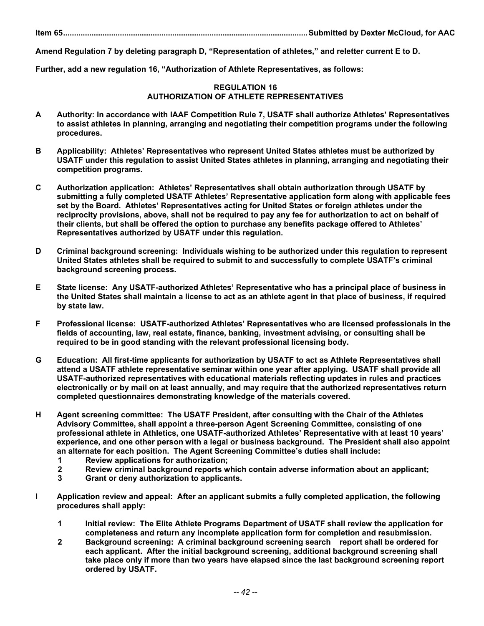**Item 65................................................................................................................Submitted by Dexter McCloud, for AAC** 

**Amend Regulation 7 by deleting paragraph D, "Representation of athletes," and reletter current E to D.** 

**Further, add a new regulation 16, "Authorization of Athlete Representatives, as follows:** 

## **REGULATION 16 AUTHORIZATION OF ATHLETE REPRESENTATIVES**

- **A Authority: In accordance with IAAF Competition Rule 7, USATF shall authorize Athletes' Representatives to assist athletes in planning, arranging and negotiating their competition programs under the following procedures.**
- **B Applicability: Athletes' Representatives who represent United States athletes must be authorized by USATF under this regulation to assist United States athletes in planning, arranging and negotiating their competition programs.**
- **C Authorization application: Athletes' Representatives shall obtain authorization through USATF by submitting a fully completed USATF Athletes' Representative application form along with applicable fees set by the Board. Athletes' Representatives acting for United States or foreign athletes under the reciprocity provisions, above, shall not be required to pay any fee for authorization to act on behalf of their clients, but shall be offered the option to purchase any benefits package offered to Athletes' Representatives authorized by USATF under this regulation.**
- **D Criminal background screening: Individuals wishing to be authorized under this regulation to represent United States athletes shall be required to submit to and successfully to complete USATF's criminal background screening process.**
- **E State license: Any USATF-authorized Athletes' Representative who has a principal place of business in the United States shall maintain a license to act as an athlete agent in that place of business, if required by state law.**
- **F Professional license: USATF-authorized Athletes' Representatives who are licensed professionals in the fields of accounting, law, real estate, finance, banking, investment advising, or consulting shall be required to be in good standing with the relevant professional licensing body.**
- **G Education: All first-time applicants for authorization by USATF to act as Athlete Representatives shall attend a USATF athlete representative seminar within one year after applying. USATF shall provide all USATF-authorized representatives with educational materials reflecting updates in rules and practices electronically or by mail on at least annually, and may require that the authorized representatives return completed questionnaires demonstrating knowledge of the materials covered.**
- **H Agent screening committee: The USATF President, after consulting with the Chair of the Athletes Advisory Committee, shall appoint a three-person Agent Screening Committee, consisting of one professional athlete in Athletics, one USATF-authorized Athletes' Representative with at least 10 years' experience, and one other person with a legal or business background. The President shall also appoint an alternate for each position. The Agent Screening Committee's duties shall include:** 
	- **1 Review applications for authorization;**
	- **2 Review criminal background reports which contain adverse information about an applicant;**
	- **3 Grant or deny authorization to applicants.**
- **I Application review and appeal: After an applicant submits a fully completed application, the following procedures shall apply:** 
	- **1 Initial review: The Elite Athlete Programs Department of USATF shall review the application for completeness and return any incomplete application form for completion and resubmission.**
	- **2 Background screening: A criminal background screening search report shall be ordered for each applicant. After the initial background screening, additional background screening shall take place only if more than two years have elapsed since the last background screening report ordered by USATF.**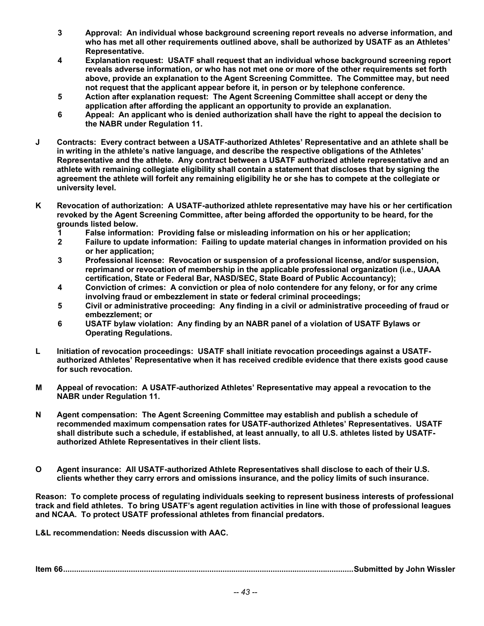- **3 Approval: An individual whose background screening report reveals no adverse information, and who has met all other requirements outlined above, shall be authorized by USATF as an Athletes' Representative.**
- **4 Explanation request: USATF shall request that an individual whose background screening report reveals adverse information, or who has not met one or more of the other requirements set forth above, provide an explanation to the Agent Screening Committee. The Committee may, but need not request that the applicant appear before it, in person or by telephone conference.**
- **5 Action after explanation request: The Agent Screening Committee shall accept or deny the application after affording the applicant an opportunity to provide an explanation.**
- **6 Appeal: An applicant who is denied authorization shall have the right to appeal the decision to the NABR under Regulation 11.**
- **J Contracts: Every contract between a USATF-authorized Athletes' Representative and an athlete shall be in writing in the athlete's native language, and describe the respective obligations of the Athletes' Representative and the athlete. Any contract between a USATF authorized athlete representative and an athlete with remaining collegiate eligibility shall contain a statement that discloses that by signing the agreement the athlete will forfeit any remaining eligibility he or she has to compete at the collegiate or university level.**
- **K Revocation of authorization: A USATF-authorized athlete representative may have his or her certification revoked by the Agent Screening Committee, after being afforded the opportunity to be heard, for the grounds listed below.** 
	-
	- **1 False information: Providing false or misleading information on his or her application; 2 Failure to update information: Failing to update material changes in information provided on his or her application;**
	- **3 Professional license: Revocation or suspension of a professional license, and/or suspension, reprimand or revocation of membership in the applicable professional organization (i.e., UAAA certification, State or Federal Bar, NASD/SEC, State Board of Public Accountancy);**
	- **4 Conviction of crimes: A conviction or plea of nolo contendere for any felony, or for any crime involving fraud or embezzlement in state or federal criminal proceedings;**
	- **5 Civil or administrative proceeding: Any finding in a civil or administrative proceeding of fraud or embezzlement; or**
	- **6 USATF bylaw violation: Any finding by an NABR panel of a violation of USATF Bylaws or Operating Regulations.**
- **L Initiation of revocation proceedings: USATF shall initiate revocation proceedings against a USATFauthorized Athletes' Representative when it has received credible evidence that there exists good cause for such revocation.**
- **M Appeal of revocation: A USATF-authorized Athletes' Representative may appeal a revocation to the NABR under Regulation 11.**
- **N Agent compensation: The Agent Screening Committee may establish and publish a schedule of recommended maximum compensation rates for USATF-authorized Athletes' Representatives. USATF shall distribute such a schedule, if established, at least annually, to all U.S. athletes listed by USATFauthorized Athlete Representatives in their client lists.**
- **O Agent insurance: All USATF-authorized Athlete Representatives shall disclose to each of their U.S. clients whether they carry errors and omissions insurance, and the policy limits of such insurance.**

**Reason: To complete process of regulating individuals seeking to represent business interests of professional track and field athletes. To bring USATF's agent regulation activities in line with those of professional leagues and NCAA. To protect USATF professional athletes from financial predators.** 

**L&L recommendation: Needs discussion with AAC.** 

**Item 66.....................................................................................................................................Submitted by John Wissler**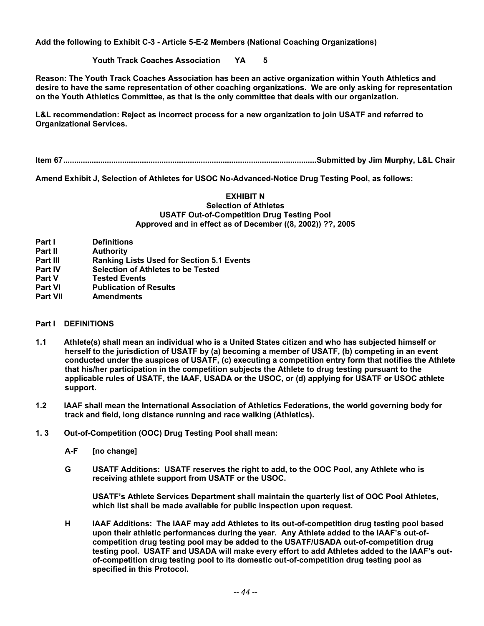**Add the following to Exhibit C-3 - Article 5-E-2 Members (National Coaching Organizations)** 

 **Youth Track Coaches Association YA 5** 

**Reason: The Youth Track Coaches Association has been an active organization within Youth Athletics and desire to have the same representation of other coaching organizations. We are only asking for representation on the Youth Athletics Committee, as that is the only committee that deals with our organization.** 

**L&L recommendation: Reject as incorrect process for a new organization to join USATF and referred to Organizational Services.** 

**Item 67....................................................................................................................Submitted by Jim Murphy, L&L Chair** 

**Amend Exhibit J, Selection of Athletes for USOC No-Advanced-Notice Drug Testing Pool, as follows:** 

#### **EXHIBIT N Selection of Athletes USATF Out-of-Competition Drug Testing Pool Approved and in effect as of December ((8, 2002)) ??, 2005**

- **Part I Definitions**
- **Part II Authority**
- **Part III Ranking Lists Used for Section 5.1 Events**
- **Part IV** Selection of Athletes to be Tested<br> **Part V** Tested Events
- **Tested Events**
- **Part VI Publication of Results**
- **Part VII Amendments**

#### **Part I DEFINITIONS**

- **1.1 Athlete(s) shall mean an individual who is a United States citizen and who has subjected himself or herself to the jurisdiction of USATF by (a) becoming a member of USATF, (b) competing in an event conducted under the auspices of USATF, (c) executing a competition entry form that notifies the Athlete that his/her participation in the competition subjects the Athlete to drug testing pursuant to the applicable rules of USATF, the IAAF, USADA or the USOC, or (d) applying for USATF or USOC athlete support.**
- **1.2 IAAF shall mean the International Association of Athletics Federations, the world governing body for track and field, long distance running and race walking (Athletics).**
- **1. 3 Out-of-Competition (OOC) Drug Testing Pool shall mean:** 
	- **A-F [no change]**
	- **G USATF Additions: USATF reserves the right to add, to the OOC Pool, any Athlete who is receiving athlete support from USATF or the USOC.**

 **USATF's Athlete Services Department shall maintain the quarterly list of OOC Pool Athletes, which list shall be made available for public inspection upon request.** 

 **H IAAF Additions: The IAAF may add Athletes to its out-of-competition drug testing pool based upon their athletic performances during the year. Any Athlete added to the IAAF's out-ofcompetition drug testing pool may be added to the USATF/USADA out-of-competition drug testing pool. USATF and USADA will make every effort to add Athletes added to the IAAF's outof-competition drug testing pool to its domestic out-of-competition drug testing pool as specified in this Protocol.**